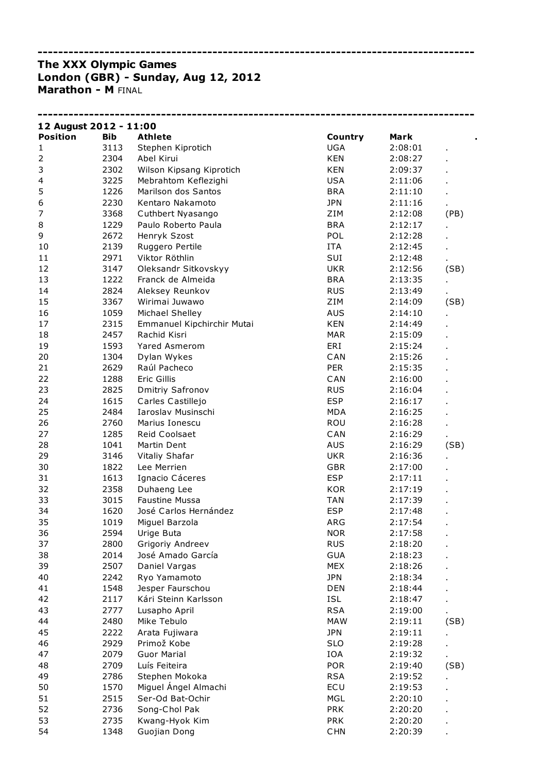## The XXX Olympic Games London (GBR) - Sunday, Aug 12, 2012 **Marathon - M FINAL**

| 12 August 2012 - 11:00 |              |                               |            |         |                |  |  |
|------------------------|--------------|-------------------------------|------------|---------|----------------|--|--|
| <b>Position</b>        | <b>Bib</b>   | <b>Athlete</b>                | Country    | Mark    |                |  |  |
| 1                      | 3113         | Stephen Kiprotich             | UGA        | 2:08:01 | Ĭ.             |  |  |
| 2                      | 2304         | Abel Kirui                    | <b>KEN</b> | 2:08:27 |                |  |  |
| 3                      | 2302         | Wilson Kipsang Kiprotich      | <b>KEN</b> | 2:09:37 |                |  |  |
| 4                      | 3225         | Mebrahtom Keflezighi          | <b>USA</b> | 2:11:06 |                |  |  |
| 5                      | 1226         | Marilson dos Santos           | <b>BRA</b> | 2:11:10 |                |  |  |
| 6                      | 2230         | Kentaro Nakamoto              | <b>JPN</b> | 2:11:16 |                |  |  |
| 7                      | 3368         | Cuthbert Nyasango             | ZIM        | 2:12:08 | (PB)           |  |  |
| 8                      | 1229         | Paulo Roberto Paula           | <b>BRA</b> | 2:12:17 |                |  |  |
| 9                      | 2672         | Henryk Szost                  | POL        | 2:12:28 |                |  |  |
| 10                     | 2139         | Ruggero Pertile               | <b>ITA</b> | 2:12:45 |                |  |  |
| 11                     | 2971         | Viktor Röthlin                | SUI        | 2:12:48 |                |  |  |
| 12                     | 3147         | Oleksandr Sitkovskyy          | <b>UKR</b> | 2:12:56 | (SB)           |  |  |
| 13                     | 1222         | Franck de Almeida             | <b>BRA</b> | 2:13:35 |                |  |  |
| 14                     | 2824         | Aleksey Reunkov               | <b>RUS</b> | 2:13:49 |                |  |  |
| 15                     | 3367         | Wirimai Juwawo                | ZIM        | 2:14:09 | (SB)           |  |  |
| 16                     | 1059         | Michael Shelley               | AUS        | 2:14:10 |                |  |  |
| 17                     | 2315         | Emmanuel Kipchirchir Mutai    | <b>KEN</b> | 2:14:49 |                |  |  |
| 18                     | 2457         | Rachid Kisri                  | <b>MAR</b> | 2:15:09 |                |  |  |
| 19                     | 1593         | <b>Yared Asmerom</b>          | ERI        | 2:15:24 |                |  |  |
| 20                     | 1304         | Dylan Wykes                   | CAN        | 2:15:26 |                |  |  |
| 21                     | 2629         | Raúl Pacheco                  | <b>PER</b> | 2:15:35 |                |  |  |
| 22                     | 1288         | Eric Gillis                   | CAN        | 2:16:00 |                |  |  |
| 23                     | 2825         | Dmitriy Safronov              | <b>RUS</b> | 2:16:04 |                |  |  |
| 24                     | 1615         | Carles Castillejo             | <b>ESP</b> | 2:16:17 |                |  |  |
| 25                     | 2484         | Iaroslav Musinschi            | <b>MDA</b> | 2:16:25 |                |  |  |
| 26                     | 2760         | Marius Ionescu                | ROU        | 2:16:28 |                |  |  |
| 27                     | 1285         | Reid Coolsaet                 | CAN        | 2:16:29 |                |  |  |
| 28                     | 1041         | Martin Dent                   | <b>AUS</b> | 2:16:29 | (SB)           |  |  |
| 29                     | 3146         | Vitaliy Shafar                | <b>UKR</b> | 2:16:36 |                |  |  |
| 30                     | 1822         | Lee Merrien                   | <b>GBR</b> | 2:17:00 |                |  |  |
| 31                     | 1613         | Ignacio Cáceres               | <b>ESP</b> | 2:17:11 |                |  |  |
| 32                     | 2358         |                               |            |         |                |  |  |
|                        |              | Duhaeng Lee<br>Faustine Mussa | <b>KOR</b> | 2:17:19 |                |  |  |
| 33                     | 3015<br>1620 |                               | <b>TAN</b> | 2:17:39 |                |  |  |
| 34                     |              | José Carlos Hernández         | <b>ESP</b> | 2:17:48 |                |  |  |
| 35                     | 1019         | Miguel Barzola                | ARG        | 2:17:54 |                |  |  |
| 36                     | 2594         | Urige Buta                    | <b>NOR</b> | 2:17:58 | $\blacksquare$ |  |  |
| 37                     | 2800         | Grigoriy Andreev              | <b>RUS</b> | 2:18:20 |                |  |  |
| 38                     | 2014         | José Amado García             | <b>GUA</b> | 2:18:23 |                |  |  |
| 39                     | 2507         | Daniel Vargas                 | <b>MEX</b> | 2:18:26 |                |  |  |
| 40                     | 2242         | Ryo Yamamoto                  | <b>JPN</b> | 2:18:34 |                |  |  |
| 41                     | 1548         | Jesper Faurschou              | <b>DEN</b> | 2:18:44 |                |  |  |
| 42                     | 2117         | Kári Steinn Karlsson          | ISL        | 2:18:47 |                |  |  |
| 43                     | 2777         | Lusapho April                 | <b>RSA</b> | 2:19:00 |                |  |  |
| 44                     | 2480         | Mike Tebulo                   | <b>MAW</b> | 2:19:11 | (SB)           |  |  |
| 45                     | 2222         | Arata Fujiwara                | <b>JPN</b> | 2:19:11 |                |  |  |
| 46                     | 2929         | Primož Kobe                   | <b>SLO</b> | 2:19:28 |                |  |  |
| 47                     | 2079         | <b>Guor Marial</b>            | IOA        | 2:19:32 | ä,             |  |  |
| 48                     | 2709         | Luís Feiteira                 | <b>POR</b> | 2:19:40 | (SB)           |  |  |
| 49                     | 2786         | Stephen Mokoka                | <b>RSA</b> | 2:19:52 |                |  |  |
| 50                     | 1570         | Miguel Ángel Almachi          | ECU        | 2:19:53 |                |  |  |
| 51                     | 2515         | Ser-Od Bat-Ochir              | MGL        | 2:20:10 |                |  |  |
| 52                     | 2736         | Song-Chol Pak                 | <b>PRK</b> | 2:20:20 |                |  |  |
| 53                     | 2735         | Kwang-Hyok Kim                | <b>PRK</b> | 2:20:20 |                |  |  |
| 54                     | 1348         | Guojian Dong                  | <b>CHN</b> | 2:20:39 |                |  |  |

-------------------------------------------------------------------------------------

-------------------------------------------------------------------------------------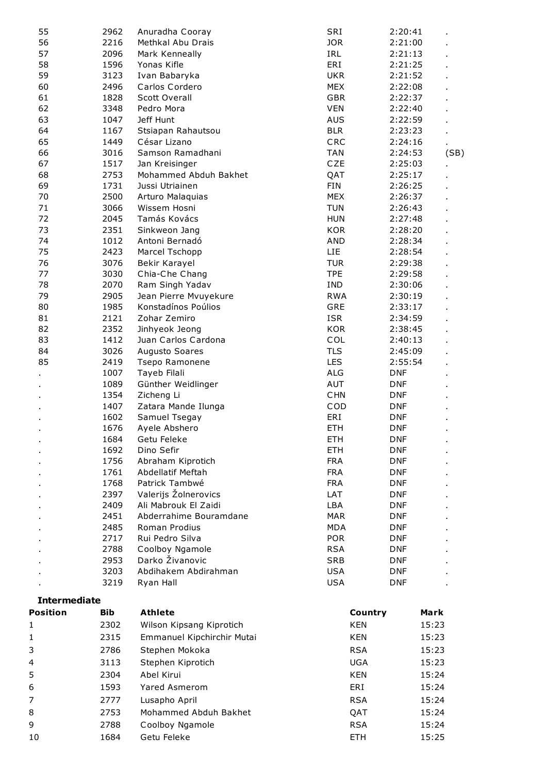| 55                  | 2962         | Anuradha Cooray                 | SRI                      | 2:20:41            |
|---------------------|--------------|---------------------------------|--------------------------|--------------------|
| 56                  | 2216         | Methkal Abu Drais               | <b>JOR</b>               | 2:21:00            |
| 57                  | 2096         | Mark Kenneally                  | IRL                      | 2:21:13            |
| 58                  | 1596         | Yonas Kifle                     | ERI                      | 2:21:25            |
| 59                  | 3123         | Ivan Babaryka                   | <b>UKR</b>               | 2:21:52            |
| 60                  | 2496         | Carlos Cordero                  | <b>MEX</b>               | 2:22:08            |
| 61                  | 1828         | <b>Scott Overall</b>            | <b>GBR</b>               | 2:22:37            |
| 62                  | 3348         | Pedro Mora                      | <b>VEN</b>               | 2:22:40            |
| 63                  | 1047         | Jeff Hunt                       | <b>AUS</b>               | 2:22:59            |
| 64                  | 1167         | Stsiapan Rahautsou              | <b>BLR</b>               | 2:23:23            |
| 65                  | 1449         | César Lizano                    | CRC                      | 2:24:16            |
| 66                  | 3016         | Samson Ramadhani                | <b>TAN</b>               | 2:24:53<br>(SB)    |
| 67                  | 1517         | Jan Kreisinger                  | CZE                      | 2:25:03            |
| 68                  | 2753         | Mohammed Abduh Bakhet           | QAT                      | 2:25:17            |
| 69                  | 1731         | Jussi Utriainen                 | <b>FIN</b>               | 2:26:25            |
| 70                  | 2500         | Arturo Malaquias                | <b>MEX</b>               | 2:26:37            |
| 71                  | 3066         | Wissem Hosni                    | <b>TUN</b>               | 2:26:43            |
| 72<br>73            | 2045<br>2351 | Tamás Kovács                    | <b>HUN</b><br><b>KOR</b> | 2:27:48            |
|                     |              | Sinkweon Jang<br>Antoni Bernadó |                          | 2:28:20<br>2:28:34 |
| 74<br>75            | 1012<br>2423 | Marcel Tschopp                  | AND<br><b>LIE</b>        | 2:28:54            |
| 76                  | 3076         | Bekir Karayel                   | <b>TUR</b>               | 2:29:38            |
| 77                  | 3030         | Chia-Che Chang                  | <b>TPE</b>               | 2:29:58            |
| 78                  | 2070         | Ram Singh Yadav                 | IND                      | 2:30:06            |
| 79                  | 2905         | Jean Pierre Mvuyekure           | <b>RWA</b>               | 2:30:19            |
| 80                  | 1985         | Konstadínos Poúlios             | GRE                      | 2:33:17            |
| 81                  | 2121         | Zohar Zemiro                    | <b>ISR</b>               | 2:34:59            |
| 82                  | 2352         | Jinhyeok Jeong                  | <b>KOR</b>               | 2:38:45            |
| 83                  | 1412         | Juan Carlos Cardona             | COL                      | 2:40:13            |
| 84                  | 3026         | Augusto Soares                  | <b>TLS</b>               | 2:45:09            |
| 85                  | 2419         | Tsepo Ramonene                  | <b>LES</b>               | 2:55:54            |
|                     | 1007         | Tayeb Filali                    | ALG                      | <b>DNF</b>         |
|                     | 1089         | Günther Weidlinger              | AUT                      | <b>DNF</b>         |
|                     | 1354         | Zicheng Li                      | <b>CHN</b>               | <b>DNF</b>         |
|                     | 1407         | Zatara Mande Ilunga             | COD                      | <b>DNF</b>         |
|                     | 1602         | Samuel Tsegay                   | ERI                      | <b>DNF</b>         |
|                     | 1676         | Ayele Abshero                   | <b>ETH</b>               | <b>DNF</b>         |
|                     |              | 1684 Getu Feleke                | <b>ETH</b>               | <b>DNF</b>         |
|                     | 1692         | Dino Sefir                      | <b>ETH</b>               | <b>DNF</b>         |
|                     | 1756         | Abraham Kiprotich               | <b>FRA</b>               | <b>DNF</b>         |
|                     | 1761         | Abdellatif Meftah               | <b>FRA</b>               | <b>DNF</b>         |
|                     | 1768         | Patrick Tambwé                  | <b>FRA</b>               | <b>DNF</b>         |
|                     | 2397         | Valerijs Žolnerovics            | LAT                      | <b>DNF</b>         |
|                     | 2409         | Ali Mabrouk El Zaidi            | LBA                      | <b>DNF</b>         |
|                     | 2451         | Abderrahime Bouramdane          | <b>MAR</b>               | <b>DNF</b>         |
|                     | 2485         | Roman Prodius                   | <b>MDA</b>               | <b>DNF</b>         |
|                     | 2717         | Rui Pedro Silva                 | <b>POR</b>               | <b>DNF</b>         |
|                     | 2788         | Coolboy Ngamole                 | <b>RSA</b>               | <b>DNF</b>         |
|                     | 2953         | Darko Živanovic                 | <b>SRB</b>               | <b>DNF</b>         |
|                     | 3203         | Abdihakem Abdirahman            | <b>USA</b>               | <b>DNF</b>         |
|                     | 3219         | Ryan Hall                       | <b>USA</b>               | <b>DNF</b>         |
| <b>Intermediate</b> |              |                                 |                          |                    |
| Position            | <b>Bib</b>   | <b>Athlete</b>                  | Country                  | Mark               |
|                     | 2302         |                                 | <b>KEN</b>               |                    |
| 1                   |              | Wilson Kipsang Kiprotich        |                          | 15:23              |
| 1                   | 2315         | Emmanuel Kipchirchir Mutai      | <b>KEN</b>               | 15:23              |
| 3                   | 2786         | Stephen Mokoka                  | <b>RSA</b>               | 15:23              |
| 4                   | 3113         | Stephen Kiprotich               | <b>UGA</b>               | 15:23              |
| 5                   | 2304         | Abel Kirui                      | <b>KEN</b>               | 15:24              |
| 6                   | 1593         | Yared Asmerom                   | ERI                      | 15:24              |
| 7                   | 2777         | Lusapho April                   | <b>RSA</b>               | 15:24              |
| 8                   | 2753         | Mohammed Abduh Bakhet           | QAT                      | 15:24              |
| 9                   | 2788         | Coolboy Ngamole                 | <b>RSA</b>               | 15:24              |
|                     |              |                                 |                          |                    |
| 10                  | 1684         | Getu Feleke                     | <b>ETH</b>               | 15:25              |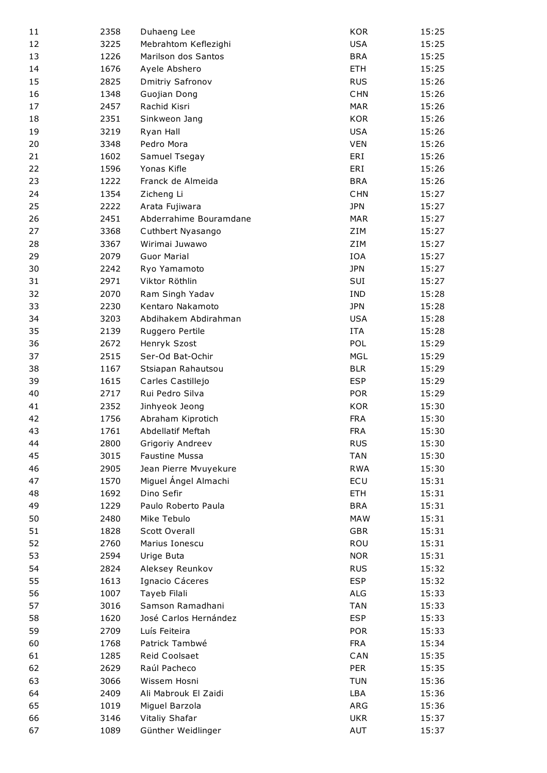| 11 | 2358 | Duhaeng Lee            | <b>KOR</b> | 15:25 |
|----|------|------------------------|------------|-------|
| 12 | 3225 | Mebrahtom Keflezighi   | <b>USA</b> | 15:25 |
| 13 | 1226 | Marilson dos Santos    | <b>BRA</b> | 15:25 |
| 14 | 1676 | Ayele Abshero          | <b>ETH</b> | 15:25 |
| 15 | 2825 | Dmitriy Safronov       | <b>RUS</b> | 15:26 |
| 16 | 1348 | Guojian Dong           | <b>CHN</b> | 15:26 |
| 17 | 2457 | Rachid Kisri           | <b>MAR</b> | 15:26 |
| 18 | 2351 | Sinkweon Jang          | <b>KOR</b> | 15:26 |
| 19 | 3219 | Ryan Hall              | <b>USA</b> | 15:26 |
| 20 | 3348 | Pedro Mora             | <b>VEN</b> | 15:26 |
| 21 | 1602 | Samuel Tsegay          | ERI        | 15:26 |
| 22 | 1596 | Yonas Kifle            | ERI        | 15:26 |
| 23 | 1222 | Franck de Almeida      | <b>BRA</b> | 15:26 |
| 24 | 1354 | Zicheng Li             | <b>CHN</b> | 15:27 |
| 25 | 2222 | Arata Fujiwara         | <b>JPN</b> | 15:27 |
| 26 | 2451 | Abderrahime Bouramdane | <b>MAR</b> | 15:27 |
| 27 | 3368 | Cuthbert Nyasango      | ZIM        | 15:27 |
| 28 | 3367 | Wirimai Juwawo         | ZIM        | 15:27 |
| 29 | 2079 | <b>Guor Marial</b>     | IOA        | 15:27 |
| 30 | 2242 | Ryo Yamamoto           | <b>JPN</b> | 15:27 |
| 31 | 2971 | Viktor Röthlin         | SUI        | 15:27 |
| 32 | 2070 | Ram Singh Yadav        | <b>IND</b> | 15:28 |
| 33 | 2230 | Kentaro Nakamoto       | <b>JPN</b> | 15:28 |
| 34 | 3203 | Abdihakem Abdirahman   | <b>USA</b> | 15:28 |
| 35 | 2139 | Ruggero Pertile        | <b>ITA</b> | 15:28 |
| 36 | 2672 | Henryk Szost           | POL        | 15:29 |
| 37 | 2515 | Ser-Od Bat-Ochir       | <b>MGL</b> | 15:29 |
| 38 | 1167 | Stsiapan Rahautsou     | <b>BLR</b> | 15:29 |
| 39 | 1615 | Carles Castillejo      | <b>ESP</b> | 15:29 |
| 40 | 2717 | Rui Pedro Silva        | <b>POR</b> | 15:29 |
| 41 | 2352 | Jinhyeok Jeong         | <b>KOR</b> | 15:30 |
| 42 | 1756 | Abraham Kiprotich      | <b>FRA</b> | 15:30 |
| 43 | 1761 | Abdellatif Meftah      | <b>FRA</b> | 15:30 |
| 44 | 2800 | Grigoriy Andreev       | <b>RUS</b> | 15:30 |
| 45 | 3015 | Faustine Mussa         | <b>TAN</b> | 15:30 |
| 46 | 2905 | Jean Pierre Mvuyekure  | <b>RWA</b> | 15:30 |
| 47 | 1570 | Miguel Ángel Almachi   | ECU        | 15:31 |
| 48 | 1692 | Dino Sefir             | <b>ETH</b> | 15:31 |
| 49 | 1229 | Paulo Roberto Paula    | <b>BRA</b> | 15:31 |
| 50 | 2480 | Mike Tebulo            | <b>MAW</b> | 15:31 |
| 51 | 1828 | <b>Scott Overall</b>   | <b>GBR</b> | 15:31 |
| 52 | 2760 | Marius Ionescu         | ROU        | 15:31 |
| 53 | 2594 | Urige Buta             | <b>NOR</b> | 15:31 |
| 54 | 2824 | Aleksey Reunkov        | <b>RUS</b> | 15:32 |
| 55 | 1613 | Ignacio Cáceres        | <b>ESP</b> | 15:32 |
| 56 | 1007 | Tayeb Filali           | ALG        | 15:33 |
| 57 | 3016 | Samson Ramadhani       | <b>TAN</b> | 15:33 |
| 58 | 1620 | José Carlos Hernández  | <b>ESP</b> | 15:33 |
| 59 | 2709 | Luís Feiteira          | <b>POR</b> | 15:33 |
| 60 | 1768 | Patrick Tambwé         | <b>FRA</b> | 15:34 |
| 61 | 1285 | Reid Coolsaet          | CAN        | 15:35 |
| 62 | 2629 | Raúl Pacheco           | <b>PER</b> | 15:35 |
| 63 | 3066 | Wissem Hosni           | <b>TUN</b> | 15:36 |
| 64 | 2409 | Ali Mabrouk El Zaidi   | LBA        | 15:36 |
| 65 | 1019 | Miguel Barzola         | ARG        | 15:36 |
| 66 | 3146 | Vitaliy Shafar         | <b>UKR</b> | 15:37 |
| 67 | 1089 | Günther Weidlinger     | AUT        | 15:37 |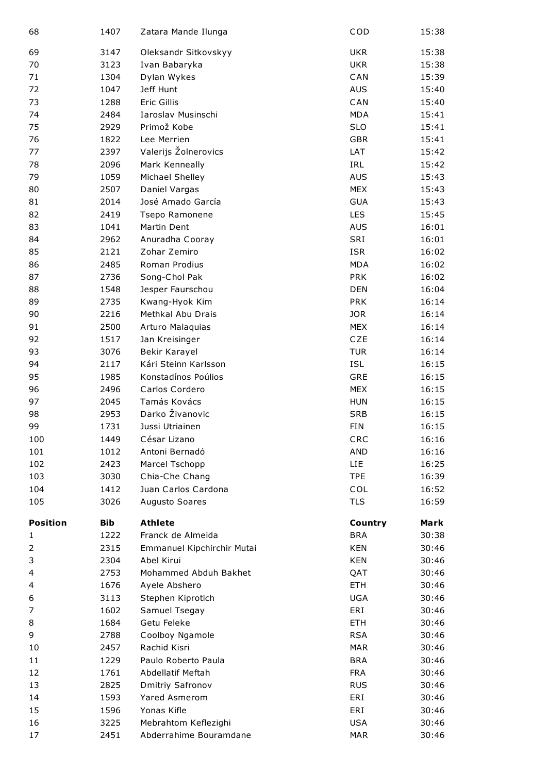| 68              | 1407       | Zatara Mande Ilunga        | COD        | 15:38 |
|-----------------|------------|----------------------------|------------|-------|
| 69              | 3147       | Oleksandr Sitkovskyy       | <b>UKR</b> | 15:38 |
| 70              | 3123       | Ivan Babaryka              | <b>UKR</b> | 15:38 |
| 71              | 1304       | Dylan Wykes                | CAN        | 15:39 |
| 72              | 1047       | Jeff Hunt                  | <b>AUS</b> | 15:40 |
| 73              | 1288       | <b>Eric Gillis</b>         | CAN        | 15:40 |
| 74              | 2484       | Iaroslav Musinschi         | <b>MDA</b> | 15:41 |
| 75              | 2929       | Primož Kobe                | <b>SLO</b> | 15:41 |
| 76              | 1822       | Lee Merrien                | <b>GBR</b> | 15:41 |
| 77              | 2397       | Valerijs Žolnerovics       | LAT        | 15:42 |
| 78              | 2096       | Mark Kenneally             | IRL        | 15:42 |
| 79              | 1059       | Michael Shelley            | <b>AUS</b> | 15:43 |
| 80              | 2507       | Daniel Vargas              | <b>MEX</b> | 15:43 |
| 81              | 2014       | José Amado García          | <b>GUA</b> | 15:43 |
| 82              | 2419       | Tsepo Ramonene             | <b>LES</b> | 15:45 |
| 83              | 1041       | Martin Dent                | <b>AUS</b> | 16:01 |
| 84              | 2962       | Anuradha Cooray            | SRI        | 16:01 |
| 85              | 2121       | Zohar Zemiro               | <b>ISR</b> | 16:02 |
| 86              | 2485       | Roman Prodius              | <b>MDA</b> | 16:02 |
| 87              | 2736       | Song-Chol Pak              | <b>PRK</b> | 16:02 |
| 88              | 1548       | Jesper Faurschou           | <b>DEN</b> | 16:04 |
| 89              | 2735       | Kwang-Hyok Kim             | <b>PRK</b> | 16:14 |
| 90              | 2216       | Methkal Abu Drais          | <b>JOR</b> | 16:14 |
| 91              | 2500       | Arturo Malaquias           | <b>MEX</b> | 16:14 |
| 92              | 1517       | Jan Kreisinger             | CZE        | 16:14 |
| 93              | 3076       | Bekir Karayel              | <b>TUR</b> | 16:14 |
| 94              | 2117       | Kári Steinn Karlsson       | <b>ISL</b> | 16:15 |
| 95              | 1985       | Konstadínos Poúlios        | <b>GRE</b> | 16:15 |
| 96              | 2496       | Carlos Cordero             | <b>MEX</b> | 16:15 |
| 97              | 2045       | Tamás Kovács               | <b>HUN</b> | 16:15 |
| 98              | 2953       | Darko Živanovic            | <b>SRB</b> | 16:15 |
| 99              | 1731       | Jussi Utriainen            | <b>FIN</b> | 16:15 |
| 100             | 1449       | César Lizano               | CRC        | 16:16 |
| 101             | 1012       | Antoni Bernadó             | <b>AND</b> | 16:16 |
| 102             | 2423       | Marcel Tschopp             | <b>LIE</b> | 16:25 |
| 103             | 3030       | Chia-Che Chang             | <b>TPE</b> | 16:39 |
| 104             | 1412       | Juan Carlos Cardona        | COL        | 16:52 |
| 105             | 3026       | Augusto Soares             | <b>TLS</b> | 16:59 |
|                 |            |                            |            |       |
| <b>Position</b> | <b>Bib</b> | <b>Athlete</b>             | Country    | Mark  |
| 1               | 1222       | Franck de Almeida          | <b>BRA</b> | 30:38 |
| 2               | 2315       | Emmanuel Kipchirchir Mutai | <b>KEN</b> | 30:46 |
| 3               | 2304       | Abel Kirui                 | <b>KEN</b> | 30:46 |
| 4               | 2753       | Mohammed Abduh Bakhet      | QAT        | 30:46 |
| 4               | 1676       | Ayele Abshero              | <b>ETH</b> | 30:46 |
| 6               | 3113       | Stephen Kiprotich          | <b>UGA</b> | 30:46 |
| 7               | 1602       | Samuel Tsegay              | ERI        | 30:46 |
| 8               | 1684       | Getu Feleke                | <b>ETH</b> | 30:46 |
| 9               | 2788       | Coolboy Ngamole            | <b>RSA</b> | 30:46 |
| 10              | 2457       | Rachid Kisri               | <b>MAR</b> | 30:46 |
| 11              | 1229       | Paulo Roberto Paula        | <b>BRA</b> | 30:46 |
| 12              | 1761       | Abdellatif Meftah          | <b>FRA</b> | 30:46 |
| 13              | 2825       | Dmitriy Safronov           | <b>RUS</b> | 30:46 |
| 14              | 1593       | <b>Yared Asmerom</b>       | ERI        | 30:46 |
| 15              | 1596       | Yonas Kifle                | ERI        | 30:46 |
| 16              | 3225       | Mebrahtom Keflezighi       | <b>USA</b> | 30:46 |
| 17              | 2451       | Abderrahime Bouramdane     | <b>MAR</b> | 30:46 |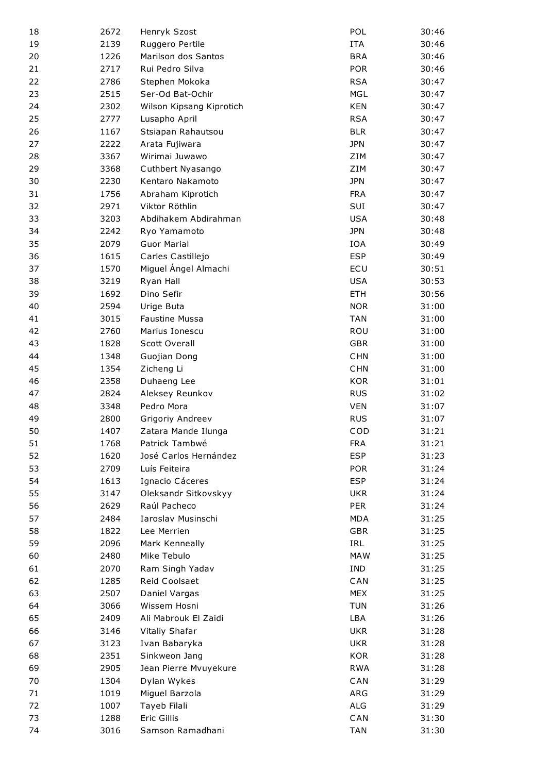| 18 | 2672 | Henryk Szost             | POL        | 30:46 |
|----|------|--------------------------|------------|-------|
| 19 | 2139 | Ruggero Pertile          | <b>ITA</b> | 30:46 |
| 20 | 1226 | Marilson dos Santos      | <b>BRA</b> | 30:46 |
| 21 | 2717 | Rui Pedro Silva          | <b>POR</b> | 30:46 |
| 22 | 2786 | Stephen Mokoka           | <b>RSA</b> | 30:47 |
| 23 | 2515 | Ser-Od Bat-Ochir         | <b>MGL</b> | 30:47 |
| 24 | 2302 | Wilson Kipsang Kiprotich | <b>KEN</b> | 30:47 |
| 25 | 2777 | Lusapho April            | <b>RSA</b> | 30:47 |
| 26 | 1167 | Stsiapan Rahautsou       | <b>BLR</b> | 30:47 |
| 27 | 2222 | Arata Fujiwara           | <b>JPN</b> | 30:47 |
| 28 | 3367 | Wirimai Juwawo           | ZIM        | 30:47 |
| 29 | 3368 | Cuthbert Nyasango        | ZIM        | 30:47 |
| 30 | 2230 | Kentaro Nakamoto         | <b>JPN</b> | 30:47 |
| 31 | 1756 | Abraham Kiprotich        | <b>FRA</b> | 30:47 |
| 32 | 2971 | Viktor Röthlin           | SUI        | 30:47 |
| 33 | 3203 | Abdihakem Abdirahman     | <b>USA</b> | 30:48 |
| 34 | 2242 | Ryo Yamamoto             | <b>JPN</b> | 30:48 |
| 35 | 2079 | <b>Guor Marial</b>       | IOA        | 30:49 |
| 36 | 1615 | Carles Castillejo        | <b>ESP</b> | 30:49 |
| 37 | 1570 | Miguel Ángel Almachi     | ECU        | 30:51 |
| 38 | 3219 |                          | <b>USA</b> | 30:53 |
| 39 | 1692 | Ryan Hall<br>Dino Sefir  | <b>ETH</b> |       |
|    |      |                          |            | 30:56 |
| 40 | 2594 | Urige Buta               | <b>NOR</b> | 31:00 |
| 41 | 3015 | <b>Faustine Mussa</b>    | <b>TAN</b> | 31:00 |
| 42 | 2760 | Marius Ionescu           | ROU        | 31:00 |
| 43 | 1828 | Scott Overall            | <b>GBR</b> | 31:00 |
| 44 | 1348 | Guojian Dong             | <b>CHN</b> | 31:00 |
| 45 | 1354 | Zicheng Li               | CHN        | 31:00 |
| 46 | 2358 | Duhaeng Lee              | <b>KOR</b> | 31:01 |
| 47 | 2824 | Aleksey Reunkov          | <b>RUS</b> | 31:02 |
| 48 | 3348 | Pedro Mora               | <b>VEN</b> | 31:07 |
| 49 | 2800 | Grigoriy Andreev         | <b>RUS</b> | 31:07 |
| 50 | 1407 | Zatara Mande Ilunga      | COD        | 31:21 |
| 51 | 1768 | Patrick Tambwé           | <b>FRA</b> | 31:21 |
| 52 | 1620 | José Carlos Hernández    | <b>ESP</b> | 31:23 |
| 53 | 2709 | Luís Feiteira            | <b>POR</b> | 31:24 |
| 54 | 1613 | Ignacio Cáceres          | <b>ESP</b> | 31:24 |
| 55 | 3147 | Oleksandr Sitkovskyy     | UKR        | 31:24 |
| 56 | 2629 | Raúl Pacheco             | <b>PER</b> | 31:24 |
| 57 | 2484 | Iaroslav Musinschi       | <b>MDA</b> | 31:25 |
| 58 | 1822 | Lee Merrien              | <b>GBR</b> | 31:25 |
| 59 | 2096 | Mark Kenneally           | IRL        | 31:25 |
| 60 | 2480 | Mike Tebulo              | <b>MAW</b> | 31:25 |
| 61 | 2070 | Ram Singh Yadav          | IND        | 31:25 |
| 62 | 1285 | Reid Coolsaet            | CAN        | 31:25 |
| 63 | 2507 | Daniel Vargas            | <b>MEX</b> | 31:25 |
| 64 | 3066 | Wissem Hosni             | <b>TUN</b> | 31:26 |
| 65 | 2409 | Ali Mabrouk El Zaidi     | <b>LBA</b> | 31:26 |
| 66 | 3146 | Vitaliy Shafar           | <b>UKR</b> | 31:28 |
| 67 | 3123 | Ivan Babaryka            | <b>UKR</b> | 31:28 |
| 68 | 2351 | Sinkweon Jang            | <b>KOR</b> | 31:28 |
| 69 | 2905 | Jean Pierre Mvuyekure    | <b>RWA</b> | 31:28 |
| 70 | 1304 | Dylan Wykes              | CAN        | 31:29 |
| 71 | 1019 | Miguel Barzola           | ARG        | 31:29 |
| 72 | 1007 | Tayeb Filali             | ALG        | 31:29 |
| 73 | 1288 | Eric Gillis              | CAN        | 31:30 |
| 74 | 3016 | Samson Ramadhani         | <b>TAN</b> | 31:30 |
|    |      |                          |            |       |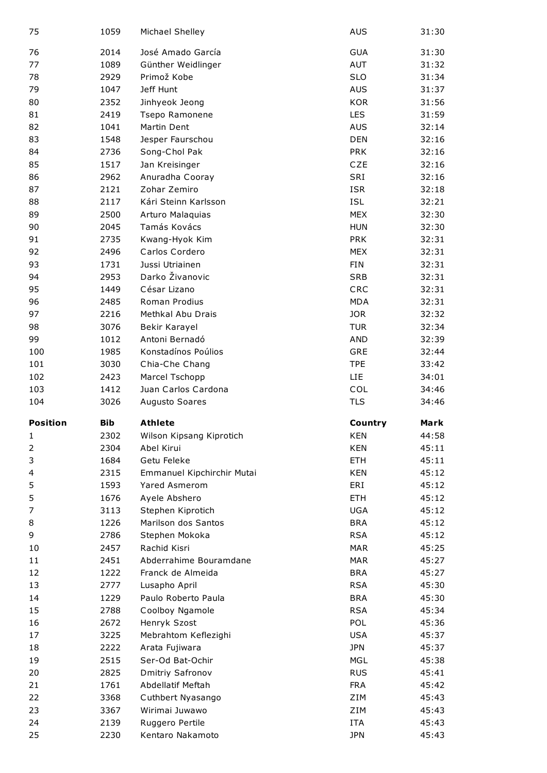| 75              | 1059       | Michael Shelley            | <b>AUS</b> | 31:30 |
|-----------------|------------|----------------------------|------------|-------|
| 76              | 2014       | José Amado García          | <b>GUA</b> | 31:30 |
| 77              | 1089       | Günther Weidlinger         | AUT        | 31:32 |
| 78              | 2929       | Primož Kobe                | <b>SLO</b> | 31:34 |
| 79              | 1047       | Jeff Hunt                  | <b>AUS</b> | 31:37 |
| 80              | 2352       | Jinhyeok Jeong             | <b>KOR</b> | 31:56 |
| 81              | 2419       | Tsepo Ramonene             | <b>LES</b> | 31:59 |
| 82              | 1041       | Martin Dent                | <b>AUS</b> | 32:14 |
| 83              | 1548       | Jesper Faurschou           | <b>DEN</b> | 32:16 |
| 84              | 2736       | Song-Chol Pak              | <b>PRK</b> | 32:16 |
| 85              | 1517       | Jan Kreisinger             | <b>CZE</b> | 32:16 |
| 86              | 2962       | Anuradha Cooray            | SRI        | 32:16 |
| 87              | 2121       | Zohar Zemiro               | <b>ISR</b> | 32:18 |
| 88              | 2117       | Kári Steinn Karlsson       | <b>ISL</b> | 32:21 |
| 89              | 2500       | Arturo Malaquias           | <b>MEX</b> | 32:30 |
| 90              | 2045       | Tamás Kovács               | <b>HUN</b> | 32:30 |
| 91              | 2735       | Kwang-Hyok Kim             | <b>PRK</b> | 32:31 |
| 92              | 2496       | Carlos Cordero             | <b>MEX</b> | 32:31 |
| 93              | 1731       | Jussi Utriainen            | <b>FIN</b> | 32:31 |
| 94              | 2953       | Darko Živanovic            | <b>SRB</b> | 32:31 |
| 95              | 1449       | César Lizano               | CRC        | 32:31 |
| 96              | 2485       | Roman Prodius              | <b>MDA</b> | 32:31 |
| 97              | 2216       | Methkal Abu Drais          | <b>JOR</b> | 32:32 |
| 98              | 3076       | Bekir Karayel              | <b>TUR</b> | 32:34 |
| 99              | 1012       | Antoni Bernadó             | AND        | 32:39 |
| 100             | 1985       | Konstadínos Poúlios        | GRE        | 32:44 |
| 101             | 3030       | Chia-Che Chang             | <b>TPE</b> | 33:42 |
| 102             | 2423       | Marcel Tschopp             | LIE        | 34:01 |
|                 |            |                            |            |       |
|                 |            |                            |            |       |
| 103             | 1412       | Juan Carlos Cardona        | COL        | 34:46 |
| 104             | 3026       | <b>Augusto Soares</b>      | <b>TLS</b> | 34:46 |
| <b>Position</b> | <b>Bib</b> | <b>Athlete</b>             | Country    | Mark  |
| 1               | 2302       | Wilson Kipsang Kiprotich   | KEN        | 44:58 |
| 2               | 2304       | Abel Kirui                 | <b>KEN</b> | 45:11 |
| 3               | 1684       | Getu Feleke                | ETH        | 45:11 |
| 4               | 2315       | Emmanuel Kipchirchir Mutai | <b>KEN</b> | 45:12 |
| 5               | 1593       | Yared Asmerom              | ERI        | 45:12 |
| 5               | 1676       | Ayele Abshero              | <b>ETH</b> | 45:12 |
| 7               | 3113       | Stephen Kiprotich          | <b>UGA</b> | 45:12 |
| 8               | 1226       | Marilson dos Santos        | <b>BRA</b> | 45:12 |
| 9               | 2786       | Stephen Mokoka             | <b>RSA</b> | 45:12 |
| 10              | 2457       | Rachid Kisri               | <b>MAR</b> | 45:25 |
| 11              | 2451       | Abderrahime Bouramdane     | <b>MAR</b> | 45:27 |
| 12              | 1222       | Franck de Almeida          | <b>BRA</b> | 45:27 |
| 13              | 2777       | Lusapho April              | <b>RSA</b> | 45:30 |
| 14              | 1229       | Paulo Roberto Paula        | <b>BRA</b> | 45:30 |
| 15              | 2788       | Coolboy Ngamole            | <b>RSA</b> | 45:34 |
| 16              | 2672       | Henryk Szost               | POL        | 45:36 |
| 17              | 3225       | Mebrahtom Keflezighi       | <b>USA</b> | 45:37 |
| 18              | 2222       | Arata Fujiwara             | <b>JPN</b> | 45:37 |
| 19              | 2515       | Ser-Od Bat-Ochir           | <b>MGL</b> | 45:38 |
| 20              | 2825       | Dmitriy Safronov           | <b>RUS</b> | 45:41 |
| 21              | 1761       | Abdellatif Meftah          | <b>FRA</b> | 45:42 |
| 22              | 3368       | Cuthbert Nyasango          | ZIM        | 45:43 |
| 23              | 3367       | Wirimai Juwawo             | ZIM        | 45:43 |
| 24              | 2139       | Ruggero Pertile            | <b>ITA</b> | 45:43 |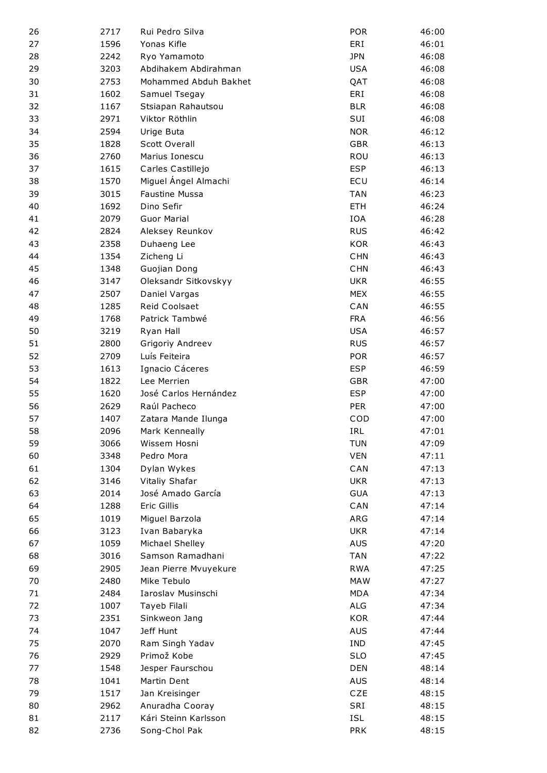| 26       | 2717         | Rui Pedro Silva                 | <b>POR</b>        | 46:00          |
|----------|--------------|---------------------------------|-------------------|----------------|
| 27       | 1596         | Yonas Kifle                     | ERI               | 46:01          |
| 28       | 2242         | Ryo Yamamoto                    | <b>JPN</b>        | 46:08          |
| 29       | 3203         | Abdihakem Abdirahman            | <b>USA</b>        | 46:08          |
| 30       | 2753         | Mohammed Abduh Bakhet           | QAT               | 46:08          |
| 31       | 1602         | Samuel Tsegay                   | ERI               | 46:08          |
| 32       | 1167         | Stsiapan Rahautsou              | <b>BLR</b>        | 46:08          |
| 33       | 2971         | Viktor Röthlin                  | SUI               | 46:08          |
| 34       | 2594         | Urige Buta                      | <b>NOR</b>        | 46:12          |
| 35       | 1828         | Scott Overall                   | <b>GBR</b>        | 46:13          |
| 36       | 2760         | Marius Ionescu                  | ROU               | 46:13          |
| 37       | 1615         | Carles Castillejo               | <b>ESP</b>        | 46:13          |
| 38       | 1570         | Miguel Ángel Almachi            | ECU               | 46:14          |
| 39       | 3015         | <b>Faustine Mussa</b>           | <b>TAN</b>        | 46:23          |
| 40       | 1692         | Dino Sefir                      | <b>ETH</b>        | 46:24          |
| 41       | 2079         | <b>Guor Marial</b>              | <b>IOA</b>        | 46:28          |
| 42       | 2824         | Aleksey Reunkov                 | <b>RUS</b>        | 46:42          |
| 43       | 2358         | Duhaeng Lee                     | <b>KOR</b>        | 46:43          |
| 44       | 1354         | Zicheng Li                      | <b>CHN</b>        | 46:43          |
| 45       | 1348         | Guojian Dong                    | <b>CHN</b>        | 46:43          |
| 46       | 3147         | Oleksandr Sitkovskyy            | <b>UKR</b>        | 46:55          |
| 47       | 2507         | Daniel Vargas                   | <b>MEX</b>        | 46:55          |
| 48       | 1285         | Reid Coolsaet                   | CAN               | 46:55          |
| 49       | 1768         | Patrick Tambwé                  | <b>FRA</b>        | 46:56          |
| 50       | 3219         | Ryan Hall                       | <b>USA</b>        | 46:57          |
| 51       | 2800         | Grigoriy Andreev                | <b>RUS</b>        | 46:57          |
| 52       | 2709         | Luís Feiteira                   | <b>POR</b>        | 46:57          |
| 53       | 1613         | Ignacio Cáceres                 | <b>ESP</b>        | 46:59          |
| 54       | 1822         | Lee Merrien                     | <b>GBR</b>        | 47:00          |
| 55       | 1620         | José Carlos Hernández           | <b>ESP</b>        | 47:00          |
| 56       | 2629         | Raúl Pacheco                    | <b>PER</b>        | 47:00          |
| 57       | 1407         | Zatara Mande Ilunga             | COD               | 47:00          |
| 58       | 2096         | Mark Kenneally                  | IRL               | 47:01          |
| 59       | 3066         | Wissem Hosni                    | <b>TUN</b>        | 47:09          |
| 60       | 3348         | Pedro Mora                      | <b>VEN</b>        | 47:11          |
| 61       | 1304         | Dylan Wykes                     | CAN               | 47:13          |
| 62       | 3146         | Vitaliy Shafar                  | <b>UKR</b>        | 47:13          |
| 63       | 2014         | José Amado García               | <b>GUA</b>        | 47:13          |
|          |              |                                 |                   |                |
| 64<br>65 | 1288         | Eric Gillis                     | CAN               | 47:14          |
| 66       | 1019<br>3123 | Miguel Barzola<br>Ivan Babaryka | ARG<br><b>UKR</b> | 47:14<br>47:14 |
| 67       | 1059         |                                 | <b>AUS</b>        |                |
|          |              | Michael Shelley                 |                   | 47:20          |
| 68       | 3016         | Samson Ramadhani                | <b>TAN</b>        | 47:22          |
| 69       | 2905         | Jean Pierre Mvuyekure           | <b>RWA</b>        | 47:25          |
| 70       | 2480         | Mike Tebulo                     | <b>MAW</b>        | 47:27          |
| 71       | 2484         | Iaroslav Musinschi              | <b>MDA</b>        | 47:34          |
| 72       | 1007         | Tayeb Filali                    | ALG               | 47:34          |
| 73       | 2351         | Sinkweon Jang                   | <b>KOR</b>        | 47:44          |
| 74       | 1047         | Jeff Hunt                       | <b>AUS</b>        | 47:44          |
| 75       | 2070         | Ram Singh Yadav                 | IND               | 47:45          |
| 76       | 2929         | Primož Kobe                     | <b>SLO</b>        | 47:45          |
| 77       | 1548         | Jesper Faurschou                | DEN               | 48:14          |
| 78       | 1041         | Martin Dent                     | <b>AUS</b>        | 48:14          |
| 79       | 1517         | Jan Kreisinger                  | CZE               | 48:15          |
| 80       | 2962         | Anuradha Cooray                 | SRI               | 48:15          |
| 81       | 2117         | Kári Steinn Karlsson            | <b>ISL</b>        | 48:15          |
| 82       | 2736         | Song-Chol Pak                   | <b>PRK</b>        | 48:15          |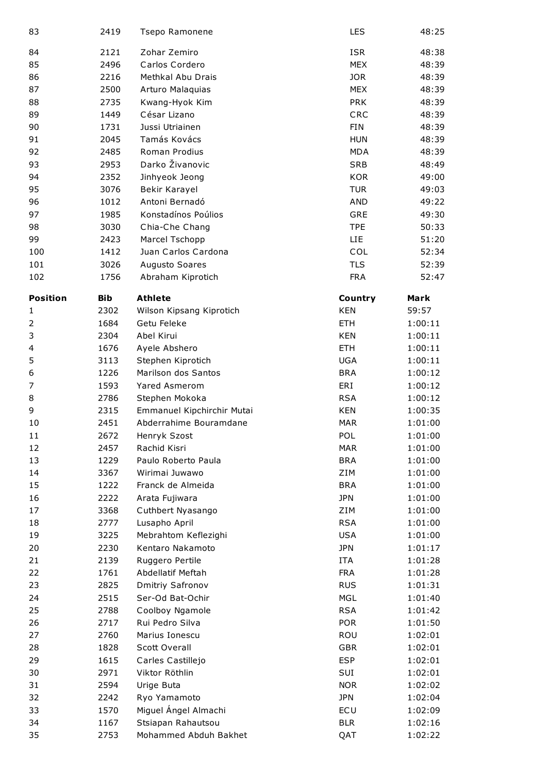| 83              | 2419       | Tsepo Ramonene             | LES        | 48:25   |
|-----------------|------------|----------------------------|------------|---------|
| 84              | 2121       | Zohar Zemiro               | <b>ISR</b> | 48:38   |
| 85              | 2496       | Carlos Cordero             | <b>MEX</b> | 48:39   |
| 86              | 2216       | Methkal Abu Drais          | <b>JOR</b> | 48:39   |
| 87              | 2500       | Arturo Malaquias           | <b>MEX</b> | 48:39   |
| 88              | 2735       | Kwang-Hyok Kim             | <b>PRK</b> | 48:39   |
| 89              | 1449       | César Lizano               | CRC        | 48:39   |
| 90              | 1731       | Jussi Utriainen            | <b>FIN</b> | 48:39   |
| 91              | 2045       | Tamás Kovács               | <b>HUN</b> | 48:39   |
| 92              | 2485       | Roman Prodius              | <b>MDA</b> | 48:39   |
| 93              | 2953       | Darko Živanovic            | <b>SRB</b> | 48:49   |
| 94              | 2352       | Jinhyeok Jeong             | <b>KOR</b> | 49:00   |
| 95              | 3076       | Bekir Karayel              | <b>TUR</b> | 49:03   |
| 96              | 1012       | Antoni Bernadó             | <b>AND</b> | 49:22   |
| 97              | 1985       | Konstadínos Poúlios        | <b>GRE</b> | 49:30   |
| 98              | 3030       | Chia-Che Chang             | <b>TPE</b> | 50:33   |
| 99              | 2423       | Marcel Tschopp             | LIE        | 51:20   |
| 100             | 1412       | Juan Carlos Cardona        | COL        | 52:34   |
| 101             | 3026       | Augusto Soares             | <b>TLS</b> | 52:39   |
| 102             | 1756       | Abraham Kiprotich          | <b>FRA</b> | 52:47   |
|                 |            |                            |            |         |
| <b>Position</b> | <b>Bib</b> | <b>Athlete</b>             | Country    | Mark    |
| 1               | 2302       | Wilson Kipsang Kiprotich   | <b>KEN</b> | 59:57   |
| 2               | 1684       | Getu Feleke                | <b>ETH</b> | 1:00:11 |
| 3               | 2304       | Abel Kirui                 | <b>KEN</b> | 1:00:11 |
| 4               | 1676       | Ayele Abshero              | <b>ETH</b> | 1:00:11 |
| 5               | 3113       | Stephen Kiprotich          | <b>UGA</b> | 1:00:11 |
| 6               | 1226       | Marilson dos Santos        | <b>BRA</b> | 1:00:12 |
| 7               | 1593       | <b>Yared Asmerom</b>       | ERI        | 1:00:12 |
| 8               | 2786       | Stephen Mokoka             | <b>RSA</b> | 1:00:12 |
| 9               | 2315       | Emmanuel Kipchirchir Mutai | <b>KEN</b> | 1:00:35 |
| 10              | 2451       | Abderrahime Bouramdane     | <b>MAR</b> | 1:01:00 |
| 11              | 2672       | Henryk Szost               | POL        | 1:01:00 |
| 12              | 2457       | Rachid Kisri               | <b>MAR</b> | 1:01:00 |
| 13              | 1229       | Paulo Roberto Paula        | <b>BRA</b> | 1:01:00 |
| 14              | 3367       | Wirimai Juwawo             | ZIM        | 1:01:00 |
| 15              | 1222       | Franck de Almeida          | <b>BRA</b> | 1:01:00 |
| 16              | 2222       | Arata Fujiwara             | <b>JPN</b> | 1:01:00 |
| 17              | 3368       | Cuthbert Nyasango          | ZIM        | 1:01:00 |
| 18              | 2777       | Lusapho April              | <b>RSA</b> | 1:01:00 |
| 19              | 3225       | Mebrahtom Keflezighi       | <b>USA</b> | 1:01:00 |
| 20              | 2230       | Kentaro Nakamoto           | <b>JPN</b> | 1:01:17 |
| 21              | 2139       | Ruggero Pertile            | <b>ITA</b> | 1:01:28 |
| 22              | 1761       | Abdellatif Meftah          | <b>FRA</b> | 1:01:28 |
| 23              | 2825       | Dmitriy Safronov           | <b>RUS</b> | 1:01:31 |
| 24              | 2515       | Ser-Od Bat-Ochir           | <b>MGL</b> | 1:01:40 |
| 25              | 2788       | Coolboy Ngamole            | <b>RSA</b> | 1:01:42 |
| 26              | 2717       | Rui Pedro Silva            | <b>POR</b> | 1:01:50 |
| 27              | 2760       | Marius Ionescu             | ROU        | 1:02:01 |
| 28              | 1828       | <b>Scott Overall</b>       | <b>GBR</b> | 1:02:01 |
| 29              | 1615       | Carles Castillejo          | <b>ESP</b> | 1:02:01 |
| 30              | 2971       | Viktor Röthlin             | SUI        | 1:02:01 |
| 31              | 2594       | Urige Buta                 | <b>NOR</b> | 1:02:02 |
| 32              | 2242       | Ryo Yamamoto               | <b>JPN</b> | 1:02:04 |
| 33              | 1570       | Miguel Ángel Almachi       | ECU        | 1:02:09 |
| 34              | 1167       | Stsiapan Rahautsou         | <b>BLR</b> | 1:02:16 |
| 35              | 2753       | Mohammed Abduh Bakhet      | QAT        | 1:02:22 |
|                 |            |                            |            |         |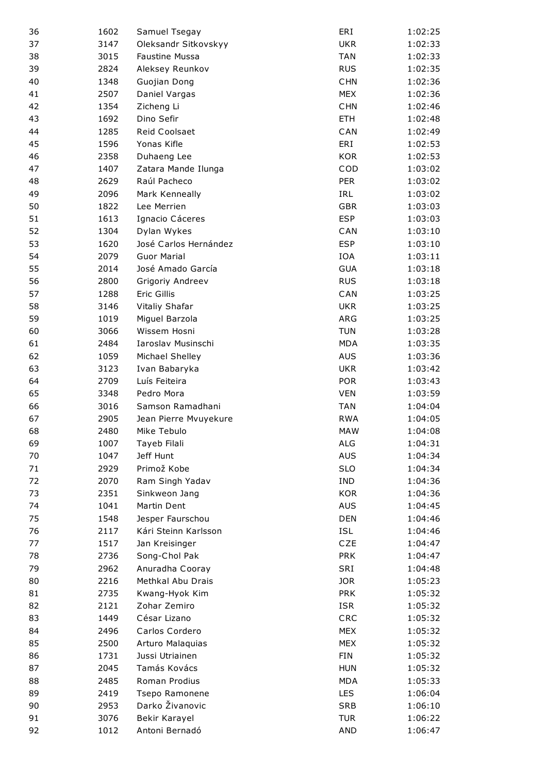| 36 | 1602 | Samuel Tsegay         | ERI        | 1:02:25 |
|----|------|-----------------------|------------|---------|
| 37 | 3147 | Oleksandr Sitkovskyy  | <b>UKR</b> | 1:02:33 |
| 38 | 3015 | <b>Faustine Mussa</b> | <b>TAN</b> | 1:02:33 |
| 39 | 2824 | Aleksey Reunkov       | <b>RUS</b> | 1:02:35 |
| 40 | 1348 | Guojian Dong          | <b>CHN</b> | 1:02:36 |
| 41 | 2507 | Daniel Vargas         | <b>MEX</b> | 1:02:36 |
| 42 | 1354 | Zicheng Li            | <b>CHN</b> | 1:02:46 |
| 43 | 1692 | Dino Sefir            | <b>ETH</b> | 1:02:48 |
| 44 | 1285 | Reid Coolsaet         | CAN        | 1:02:49 |
| 45 | 1596 | Yonas Kifle           | ERI        | 1:02:53 |
| 46 | 2358 | Duhaeng Lee           | <b>KOR</b> | 1:02:53 |
| 47 | 1407 | Zatara Mande Ilunga   | COD        | 1:03:02 |
| 48 | 2629 | Raúl Pacheco          | <b>PER</b> | 1:03:02 |
| 49 | 2096 | Mark Kenneally        | IRL        | 1:03:02 |
| 50 | 1822 | Lee Merrien           | <b>GBR</b> | 1:03:03 |
| 51 | 1613 | Ignacio Cáceres       | <b>ESP</b> | 1:03:03 |
| 52 | 1304 | Dylan Wykes           | CAN        | 1:03:10 |
| 53 | 1620 | José Carlos Hernández | <b>ESP</b> | 1:03:10 |
| 54 | 2079 | <b>Guor Marial</b>    | <b>IOA</b> | 1:03:11 |
| 55 | 2014 | José Amado García     | <b>GUA</b> | 1:03:18 |
| 56 | 2800 | Grigoriy Andreev      | <b>RUS</b> | 1:03:18 |
| 57 | 1288 | Eric Gillis           | CAN        | 1:03:25 |
| 58 | 3146 | Vitaliy Shafar        | <b>UKR</b> | 1:03:25 |
| 59 | 1019 | Miguel Barzola        | ARG        | 1:03:25 |
| 60 | 3066 | Wissem Hosni          | <b>TUN</b> | 1:03:28 |
| 61 | 2484 | Iaroslav Musinschi    | <b>MDA</b> | 1:03:35 |
| 62 | 1059 | Michael Shelley       | <b>AUS</b> | 1:03:36 |
| 63 | 3123 | Ivan Babaryka         | <b>UKR</b> | 1:03:42 |
| 64 | 2709 | Luís Feiteira         | <b>POR</b> | 1:03:43 |
| 65 | 3348 | Pedro Mora            | <b>VEN</b> | 1:03:59 |
| 66 | 3016 | Samson Ramadhani      | <b>TAN</b> | 1:04:04 |
| 67 | 2905 | Jean Pierre Mvuyekure | <b>RWA</b> | 1:04:05 |
| 68 | 2480 | Mike Tebulo           | <b>MAW</b> | 1:04:08 |
| 69 | 1007 | Tayeb Filali          | ALG        | 1:04:31 |
| 70 | 1047 | Jeff Hunt             | <b>AUS</b> | 1:04:34 |
| 71 | 2929 | Primož Kobe           | <b>SLO</b> | 1:04:34 |
| 72 | 2070 | Ram Singh Yadav       | <b>IND</b> | 1:04:36 |
| 73 | 2351 | Sinkweon Jang         | <b>KOR</b> | 1:04:36 |
| 74 | 1041 | Martin Dent           | <b>AUS</b> | 1:04:45 |
| 75 | 1548 | Jesper Faurschou      | <b>DEN</b> | 1:04:46 |
| 76 | 2117 | Kári Steinn Karlsson  | <b>ISL</b> | 1:04:46 |
| 77 | 1517 | Jan Kreisinger        | CZE        | 1:04:47 |
| 78 | 2736 | Song-Chol Pak         | <b>PRK</b> | 1:04:47 |
| 79 | 2962 | Anuradha Cooray       | SRI        | 1:04:48 |
| 80 | 2216 | Methkal Abu Drais     | <b>JOR</b> | 1:05:23 |
| 81 | 2735 | Kwang-Hyok Kim        | <b>PRK</b> | 1:05:32 |
| 82 | 2121 | Zohar Zemiro          | <b>ISR</b> | 1:05:32 |
| 83 | 1449 | César Lizano          | CRC        | 1:05:32 |
| 84 | 2496 | Carlos Cordero        | <b>MEX</b> | 1:05:32 |
| 85 | 2500 | Arturo Malaquias      | <b>MEX</b> | 1:05:32 |
| 86 | 1731 | Jussi Utriainen       | <b>FIN</b> | 1:05:32 |
| 87 | 2045 | Tamás Kovács          | <b>HUN</b> | 1:05:32 |
| 88 | 2485 | Roman Prodius         | <b>MDA</b> | 1:05:33 |
| 89 | 2419 | Tsepo Ramonene        | <b>LES</b> | 1:06:04 |
| 90 | 2953 | Darko Živanovic       | <b>SRB</b> | 1:06:10 |
| 91 | 3076 | Bekir Karayel         | <b>TUR</b> | 1:06:22 |
| 92 | 1012 | Antoni Bernadó        | <b>AND</b> | 1:06:47 |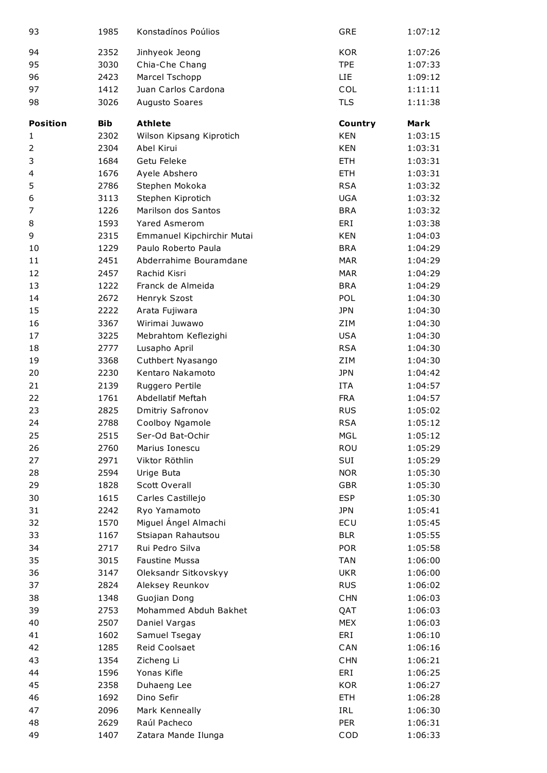| 93              | 1985       | Konstadínos Poúlios        | <b>GRE</b> | 1:07:12 |
|-----------------|------------|----------------------------|------------|---------|
| 94              | 2352       | Jinhyeok Jeong             | <b>KOR</b> | 1:07:26 |
| 95              | 3030       | Chia-Che Chang             | <b>TPE</b> | 1:07:33 |
| 96              | 2423       | Marcel Tschopp             | <b>LIE</b> | 1:09:12 |
| 97              | 1412       | Juan Carlos Cardona        | COL        | 1:11:11 |
| 98              | 3026       | Augusto Soares             | <b>TLS</b> | 1:11:38 |
| <b>Position</b> | <b>Bib</b> | <b>Athlete</b>             | Country    | Mark    |
| 1               | 2302       | Wilson Kipsang Kiprotich   | <b>KEN</b> | 1:03:15 |
| 2               | 2304       | Abel Kirui                 | <b>KEN</b> | 1:03:31 |
| 3               | 1684       | Getu Feleke                | <b>ETH</b> | 1:03:31 |
| 4               | 1676       | Ayele Abshero              | <b>ETH</b> | 1:03:31 |
| 5               | 2786       | Stephen Mokoka             | <b>RSA</b> | 1:03:32 |
| 6               | 3113       | Stephen Kiprotich          | <b>UGA</b> | 1:03:32 |
| 7               | 1226       | Marilson dos Santos        | <b>BRA</b> | 1:03:32 |
| 8               | 1593       | Yared Asmerom              | ERI        | 1:03:38 |
| 9               | 2315       | Emmanuel Kipchirchir Mutai | <b>KEN</b> | 1:04:03 |
| 10              | 1229       | Paulo Roberto Paula        | <b>BRA</b> | 1:04:29 |
| 11              | 2451       | Abderrahime Bouramdane     | <b>MAR</b> | 1:04:29 |
| 12              | 2457       | Rachid Kisri               | <b>MAR</b> | 1:04:29 |
| 13              | 1222       | Franck de Almeida          | <b>BRA</b> | 1:04:29 |
| 14              | 2672       | Henryk Szost               | POL        | 1:04:30 |
| 15              | 2222       | Arata Fujiwara             | <b>JPN</b> | 1:04:30 |
| 16              | 3367       | Wirimai Juwawo             | ZIM        | 1:04:30 |
| 17              | 3225       | Mebrahtom Keflezighi       | <b>USA</b> | 1:04:30 |
| 18              | 2777       | Lusapho April              | <b>RSA</b> | 1:04:30 |
| 19              | 3368       | Cuthbert Nyasango          | ZIM        | 1:04:30 |
| 20              | 2230       | Kentaro Nakamoto           | <b>JPN</b> | 1:04:42 |
| 21              | 2139       | Ruggero Pertile            | <b>ITA</b> | 1:04:57 |
| 22              | 1761       | Abdellatif Meftah          | <b>FRA</b> | 1:04:57 |
| 23              | 2825       | Dmitriy Safronov           | <b>RUS</b> | 1:05:02 |
| 24              | 2788       | Coolboy Ngamole            | <b>RSA</b> | 1:05:12 |
| 25              | 2515       | Ser-Od Bat-Ochir           | <b>MGL</b> | 1:05:12 |
| 26              | 2760       | Marius Ionescu             | ROU        | 1:05:29 |
| 27              | 2971       | Viktor Röthlin             | SUI        | 1:05:29 |
| 28              | 2594       | Urige Buta                 | <b>NOR</b> | 1:05:30 |
| 29              | 1828       | Scott Overall              | <b>GBR</b> | 1:05:30 |
| 30              | 1615       | Carles Castillejo          | <b>ESP</b> | 1:05:30 |
| 31              | 2242       | Ryo Yamamoto               | <b>JPN</b> | 1:05:41 |
| 32              | 1570       | Miguel Ángel Almachi       | ECU        | 1:05:45 |
| 33              | 1167       | Stsiapan Rahautsou         | <b>BLR</b> | 1:05:55 |
| 34              | 2717       | Rui Pedro Silva            | <b>POR</b> | 1:05:58 |
| 35              | 3015       | <b>Faustine Mussa</b>      | <b>TAN</b> | 1:06:00 |
| 36              | 3147       | Oleksandr Sitkovskyy       | <b>UKR</b> | 1:06:00 |
| 37              | 2824       | Aleksey Reunkov            | <b>RUS</b> | 1:06:02 |
| 38              | 1348       | Guojian Dong               | <b>CHN</b> | 1:06:03 |
| 39              | 2753       | Mohammed Abduh Bakhet      | QAT        | 1:06:03 |
| 40              | 2507       | Daniel Vargas              | <b>MEX</b> | 1:06:03 |
| 41              | 1602       | Samuel Tsegay              | ERI        | 1:06:10 |
| 42              | 1285       | Reid Coolsaet              | CAN        | 1:06:16 |
| 43              | 1354       | Zicheng Li                 | <b>CHN</b> | 1:06:21 |
| 44              | 1596       | Yonas Kifle                | ERI        | 1:06:25 |
| 45              | 2358       | Duhaeng Lee                | <b>KOR</b> | 1:06:27 |
| 46              | 1692       | Dino Sefir                 | <b>ETH</b> | 1:06:28 |
| 47              | 2096       | Mark Kenneally             | IRL        | 1:06:30 |
| 48              | 2629       | Raúl Pacheco               | <b>PER</b> | 1:06:31 |
| 49              | 1407       | Zatara Mande Ilunga        | COD        | 1:06:33 |
|                 |            |                            |            |         |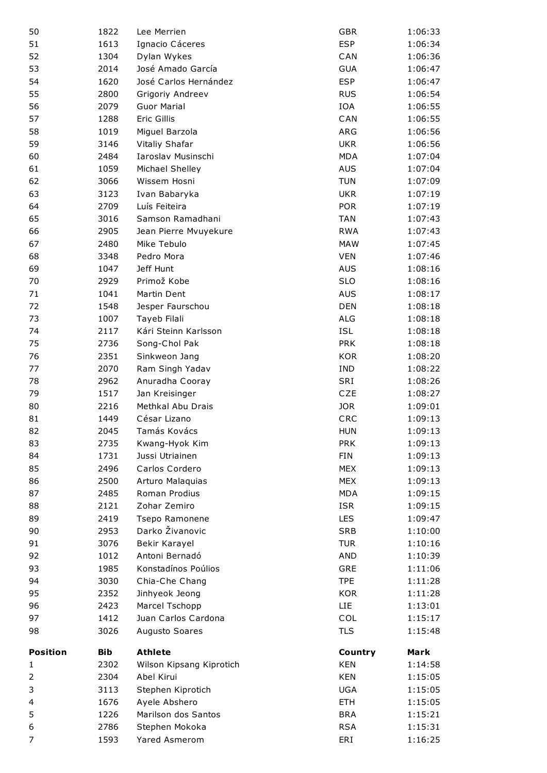|                 | 1822        | Lee Merrien              | <b>GBR</b>            | 1:06:33            |
|-----------------|-------------|--------------------------|-----------------------|--------------------|
| 51              | 1613        | Ignacio Cáceres          | <b>ESP</b>            | 1:06:34            |
| 52              | 1304        | Dylan Wykes              | CAN                   | 1:06:36            |
| 53              | 2014        | José Amado García        | <b>GUA</b>            | 1:06:47            |
| 54              | 1620        | José Carlos Hernández    | <b>ESP</b>            | 1:06:47            |
| 55              | 2800        | Grigoriy Andreev         | <b>RUS</b>            | 1:06:54            |
| 56              | 2079        | <b>Guor Marial</b>       | IOA                   | 1:06:55            |
| 57              | 1288        | Eric Gillis              | CAN                   | 1:06:55            |
| 58              | 1019        | Miguel Barzola           | ARG                   | 1:06:56            |
| 59              | 3146        | Vitaliy Shafar           | <b>UKR</b>            | 1:06:56            |
| 60              | 2484        | Iaroslav Musinschi       | <b>MDA</b>            | 1:07:04            |
| 61              | 1059        | Michael Shelley          | <b>AUS</b>            | 1:07:04            |
| 62              | 3066        | Wissem Hosni             | <b>TUN</b>            | 1:07:09            |
| 63              | 3123        | Ivan Babaryka            | <b>UKR</b>            | 1:07:19            |
| 64              | 2709        | Luís Feiteira            | <b>POR</b>            | 1:07:19            |
| 65              | 3016        | Samson Ramadhani         | <b>TAN</b>            | 1:07:43            |
| 66              | 2905        | Jean Pierre Mvuyekure    | <b>RWA</b>            | 1:07:43            |
| 67              | 2480        | Mike Tebulo              | <b>MAW</b>            | 1:07:45            |
| 68              | 3348        | Pedro Mora               | <b>VEN</b>            | 1:07:46            |
| 69              | 1047        | Jeff Hunt                | <b>AUS</b>            | 1:08:16            |
| 70              | 2929        | Primož Kobe              | <b>SLO</b>            | 1:08:16            |
| 71              | 1041        | Martin Dent              | <b>AUS</b>            | 1:08:17            |
| 72              | 1548        | Jesper Faurschou         | <b>DEN</b>            | 1:08:18            |
| 73              | 1007        | Tayeb Filali             | <b>ALG</b>            | 1:08:18            |
| 74              | 2117        | Kári Steinn Karlsson     | <b>ISL</b>            | 1:08:18            |
| 75              | 2736        | Song-Chol Pak            | <b>PRK</b>            | 1:08:18            |
| 76              | 2351        | Sinkweon Jang            | <b>KOR</b>            | 1:08:20            |
| 77              | 2070        | Ram Singh Yadav          | <b>IND</b>            | 1:08:22            |
| 78              | 2962        | Anuradha Cooray          | SRI                   | 1:08:26            |
| 79              | 1517        | Jan Kreisinger           | <b>CZE</b>            | 1:08:27            |
|                 |             |                          |                       |                    |
| 80              | 2216        | Methkal Abu Drais        | <b>JOR</b>            | 1:09:01            |
| 81              | 1449        | César Lizano             | CRC                   | 1:09:13            |
| 82              | 2045        | Tamás Kovács             | <b>HUN</b>            | 1:09:13            |
| 83              | 2735        | Kwang-Hyok Kim           | <b>PRK</b>            | 1:09:13            |
| 84              | 1731        | Jussi Utriainen          | <b>FIN</b>            | 1:09:13            |
| 85              | 2496        | Carlos Cordero           | <b>MEX</b>            | 1:09:13            |
| 86              | 2500        | Arturo Malaquias         | <b>MEX</b>            | 1:09:13            |
| 87              | 2485        | Roman Prodius            | <b>MDA</b>            | 1:09:15            |
| 88              | 2121        | Zohar Zemiro             | <b>ISR</b>            | 1:09:15            |
| 89              | 2419        | Tsepo Ramonene           | <b>LES</b>            | 1:09:47            |
| 90              | 2953        | Darko Živanovic          | <b>SRB</b>            | 1:10:00            |
| 91              | 3076        | Bekir Karayel            | <b>TUR</b>            | 1:10:16            |
| 92              | 1012        | Antoni Bernadó           | <b>AND</b>            | 1:10:39            |
| 93              | 1985        | Konstadínos Poúlios      | GRE                   | 1:11:06            |
| 94              | 3030        | Chia-Che Chang           | <b>TPE</b>            | 1:11:28            |
| 95              | 2352        | Jinhyeok Jeong           | <b>KOR</b>            | 1:11:28            |
| 96              | 2423        | Marcel Tschopp           | LIE.                  | 1:13:01            |
| 97              | 1412        | Juan Carlos Cardona      | COL                   | 1:15:17            |
| 98              | 3026        | Augusto Soares           | <b>TLS</b>            | 1:15:48            |
| <b>Position</b> |             | <b>Athlete</b>           |                       |                    |
| 1               | Bib<br>2302 | Wilson Kipsang Kiprotich | Country<br><b>KEN</b> | Mark<br>1:14:58    |
| 2               | 2304        | Abel Kirui               | <b>KEN</b>            |                    |
| 3               | 3113        | Stephen Kiprotich        | <b>UGA</b>            | 1:15:05<br>1:15:05 |
| 4               | 1676        | Ayele Abshero            | <b>ETH</b>            | 1:15:05            |
| 5               | 1226        | Marilson dos Santos      | <b>BRA</b>            | 1:15:21            |
| 6               | 2786        | Stephen Mokoka           | <b>RSA</b>            | 1:15:31            |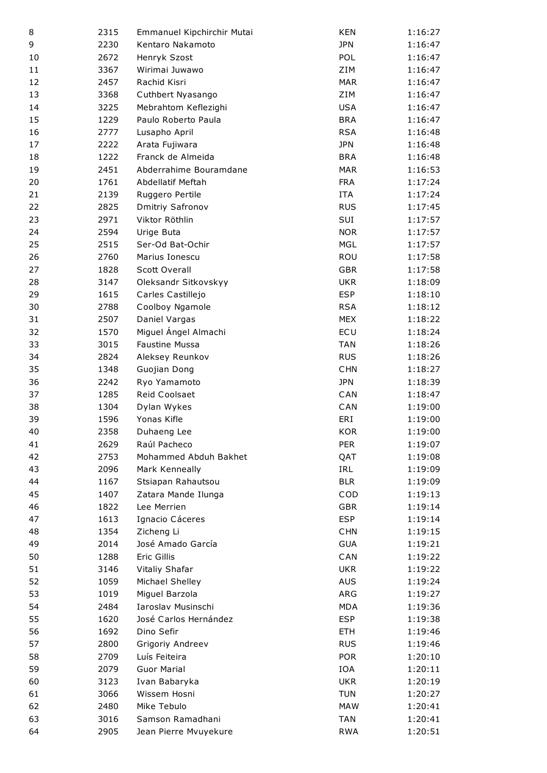| 8  | 2315 | Emmanuel Kipchirchir Mutai | <b>KEN</b> | 1:16:27 |
|----|------|----------------------------|------------|---------|
| 9  | 2230 | Kentaro Nakamoto           | <b>JPN</b> | 1:16:47 |
| 10 | 2672 | Henryk Szost               | POL        | 1:16:47 |
| 11 | 3367 | Wirimai Juwawo             | ZIM        | 1:16:47 |
| 12 | 2457 | Rachid Kisri               | <b>MAR</b> | 1:16:47 |
| 13 | 3368 | Cuthbert Nyasango          | ZIM        | 1:16:47 |
| 14 | 3225 | Mebrahtom Keflezighi       | <b>USA</b> | 1:16:47 |
| 15 | 1229 | Paulo Roberto Paula        | <b>BRA</b> | 1:16:47 |
| 16 | 2777 | Lusapho April              | <b>RSA</b> | 1:16:48 |
| 17 | 2222 | Arata Fujiwara             | <b>JPN</b> | 1:16:48 |
| 18 | 1222 | Franck de Almeida          | <b>BRA</b> | 1:16:48 |
| 19 | 2451 | Abderrahime Bouramdane     | <b>MAR</b> | 1:16:53 |
| 20 | 1761 | Abdellatif Meftah          | <b>FRA</b> | 1:17:24 |
| 21 | 2139 | Ruggero Pertile            | <b>ITA</b> | 1:17:24 |
| 22 | 2825 | Dmitriy Safronov           | <b>RUS</b> | 1:17:45 |
| 23 | 2971 | Viktor Röthlin             | SUI        | 1:17:57 |
| 24 | 2594 | Urige Buta                 | <b>NOR</b> | 1:17:57 |
| 25 | 2515 | Ser-Od Bat-Ochir           | <b>MGL</b> | 1:17:57 |
| 26 | 2760 | Marius Ionescu             | ROU        | 1:17:58 |
| 27 | 1828 | <b>Scott Overall</b>       | <b>GBR</b> | 1:17:58 |
| 28 | 3147 | Oleksandr Sitkovskyy       | <b>UKR</b> | 1:18:09 |
| 29 | 1615 | Carles Castillejo          | <b>ESP</b> | 1:18:10 |
| 30 | 2788 | Coolboy Ngamole            | <b>RSA</b> | 1:18:12 |
| 31 | 2507 | Daniel Vargas              | <b>MEX</b> | 1:18:22 |
| 32 | 1570 | Miguel Ángel Almachi       | ECU        | 1:18:24 |
| 33 | 3015 | <b>Faustine Mussa</b>      | <b>TAN</b> | 1:18:26 |
| 34 | 2824 | Aleksey Reunkov            | <b>RUS</b> | 1:18:26 |
| 35 | 1348 | Guojian Dong               | <b>CHN</b> | 1:18:27 |
| 36 | 2242 | Ryo Yamamoto               | <b>JPN</b> | 1:18:39 |
| 37 | 1285 | Reid Coolsaet              | CAN        | 1:18:47 |
| 38 | 1304 | Dylan Wykes                | CAN        | 1:19:00 |
| 39 | 1596 | Yonas Kifle                | ERI        | 1:19:00 |
| 40 | 2358 | Duhaeng Lee                | <b>KOR</b> | 1:19:00 |
| 41 | 2629 | Raúl Pacheco               | <b>PER</b> | 1:19:07 |
| 42 | 2753 | Mohammed Abduh Bakhet      | QAT        | 1:19:08 |
| 43 | 2096 | Mark Kenneally             | IRL        | 1:19:09 |
| 44 | 1167 | Stsiapan Rahautsou         | <b>BLR</b> | 1:19:09 |
| 45 | 1407 | Zatara Mande Ilunga        | COD        | 1:19:13 |
| 46 | 1822 | Lee Merrien                | <b>GBR</b> | 1:19:14 |
| 47 | 1613 | Ignacio Cáceres            | <b>ESP</b> | 1:19:14 |
| 48 | 1354 | Zicheng Li                 | <b>CHN</b> | 1:19:15 |
| 49 | 2014 | José Amado García          | <b>GUA</b> | 1:19:21 |
| 50 | 1288 | Eric Gillis                | CAN        | 1:19:22 |
| 51 | 3146 | Vitaliy Shafar             | <b>UKR</b> | 1:19:22 |
| 52 | 1059 | Michael Shelley            | <b>AUS</b> | 1:19:24 |
| 53 | 1019 | Miguel Barzola             | ARG        | 1:19:27 |
| 54 | 2484 | Iaroslav Musinschi         | <b>MDA</b> | 1:19:36 |
| 55 | 1620 | José Carlos Hernández      | <b>ESP</b> | 1:19:38 |
| 56 | 1692 | Dino Sefir                 | <b>ETH</b> | 1:19:46 |
| 57 | 2800 | Grigoriy Andreev           | <b>RUS</b> | 1:19:46 |
| 58 | 2709 | Luís Feiteira              | <b>POR</b> | 1:20:10 |
| 59 | 2079 | <b>Guor Marial</b>         | IOA        | 1:20:11 |
| 60 | 3123 | Ivan Babaryka              | <b>UKR</b> | 1:20:19 |
| 61 | 3066 | Wissem Hosni               | <b>TUN</b> | 1:20:27 |
| 62 | 2480 | Mike Tebulo                | <b>MAW</b> | 1:20:41 |
| 63 | 3016 | Samson Ramadhani           | <b>TAN</b> | 1:20:41 |
| 64 | 2905 | Jean Pierre Mvuyekure      | <b>RWA</b> | 1:20:51 |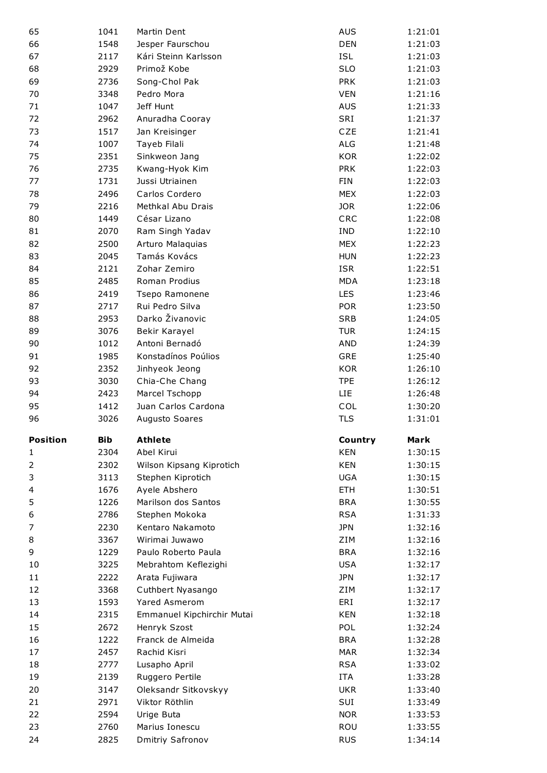| 65              | 1041         | Martin Dent                        | <b>AUS</b>               | 1:21:01            |
|-----------------|--------------|------------------------------------|--------------------------|--------------------|
| 66              | 1548         | Jesper Faurschou                   | <b>DEN</b>               | 1:21:03            |
| 67              | 2117         | Kári Steinn Karlsson               | <b>ISL</b>               | 1:21:03            |
| 68              | 2929         | Primož Kobe                        | <b>SLO</b>               | 1:21:03            |
| 69              | 2736         | Song-Chol Pak                      | <b>PRK</b>               | 1:21:03            |
| 70              | 3348         | Pedro Mora                         | <b>VEN</b>               | 1:21:16            |
| 71              |              | Jeff Hunt                          | <b>AUS</b>               |                    |
|                 | 1047         |                                    |                          | 1:21:33            |
| 72              | 2962         | Anuradha Cooray                    | SRI                      | 1:21:37            |
| 73              | 1517         | Jan Kreisinger                     | CZE                      | 1:21:41            |
| 74              | 1007         | Tayeb Filali                       | <b>ALG</b>               | 1:21:48            |
| 75              | 2351         | Sinkweon Jang                      | <b>KOR</b>               | 1:22:02            |
| 76              | 2735         | Kwang-Hyok Kim                     | <b>PRK</b>               | 1:22:03            |
| 77              | 1731         | Jussi Utriainen                    | FIN                      | 1:22:03            |
| 78              | 2496         | Carlos Cordero                     | <b>MEX</b>               | 1:22:03            |
| 79              | 2216         | Methkal Abu Drais                  | <b>JOR</b>               | 1:22:06            |
| 80              | 1449         | César Lizano                       | CRC                      | 1:22:08            |
| 81              | 2070         | Ram Singh Yadav                    | <b>IND</b>               | 1:22:10            |
| 82              | 2500         | Arturo Malaquias                   | <b>MEX</b>               | 1:22:23            |
| 83              | 2045         | Tamás Kovács                       | <b>HUN</b>               | 1:22:23            |
| 84              | 2121         | Zohar Zemiro                       | <b>ISR</b>               | 1:22:51            |
| 85              | 2485         | Roman Prodius                      | <b>MDA</b>               | 1:23:18            |
| 86              | 2419         | Tsepo Ramonene                     | LES                      | 1:23:46            |
| 87              | 2717         | Rui Pedro Silva                    | <b>POR</b>               | 1:23:50            |
| 88              | 2953         | Darko Živanovic                    | <b>SRB</b>               | 1:24:05            |
| 89              | 3076         | Bekir Karayel                      | <b>TUR</b>               | 1:24:15            |
| 90              | 1012         | Antoni Bernadó                     | <b>AND</b>               | 1:24:39            |
| 91              | 1985         | Konstadínos Poúlios                | <b>GRE</b>               | 1:25:40            |
| 92              | 2352         | Jinhyeok Jeong                     | <b>KOR</b>               | 1:26:10            |
| 93              | 3030         | Chia-Che Chang                     | <b>TPE</b>               | 1:26:12            |
|                 |              |                                    |                          |                    |
| 94              | 2423         | Marcel Tschopp                     | <b>LIE</b>               | 1:26:48            |
| 95              | 1412         | Juan Carlos Cardona                | COL                      | 1:30:20            |
| 96              | 3026         | Augusto Soares                     | <b>TLS</b>               | 1:31:01            |
| <b>Position</b> | <b>Bib</b>   | <b>Athlete</b>                     |                          | Mark               |
| 1               |              |                                    | Country                  |                    |
|                 | 2304         | Abel Kirui                         | <b>KEN</b>               | 1:30:15            |
| $\mathbf 2$     | 2302         | Wilson Kipsang Kiprotich           | <b>KEN</b>               | 1:30:15            |
| 3               | 3113         | Stephen Kiprotich                  | <b>UGA</b>               | 1:30:15            |
| 4               | 1676         | Ayele Abshero                      | <b>ETH</b>               | 1:30:51            |
| 5               | 1226         | Marilson dos Santos                | <b>BRA</b>               | 1:30:55            |
| 6               | 2786         | Stephen Mokoka                     | <b>RSA</b>               | 1:31:33            |
| 7               | 2230         | Kentaro Nakamoto                   | <b>JPN</b>               | 1:32:16            |
| 8               | 3367         | Wirimai Juwawo                     | ZIM                      | 1:32:16            |
| 9               | 1229         | Paulo Roberto Paula                | <b>BRA</b>               | 1:32:16            |
| 10              | 3225         | Mebrahtom Keflezighi               | <b>USA</b>               | 1:32:17            |
| 11              | 2222         | Arata Fujiwara                     | <b>JPN</b>               | 1:32:17            |
| 12              | 3368         | Cuthbert Nyasango                  | ZIM                      | 1:32:17            |
| 13              | 1593         | Yared Asmerom                      | ERI                      | 1:32:17            |
| 14              | 2315         | Emmanuel Kipchirchir Mutai         | <b>KEN</b>               | 1:32:18            |
| 15              | 2672         | Henryk Szost                       | POL                      | 1:32:24            |
| 16              | 1222         | Franck de Almeida                  | <b>BRA</b>               | 1:32:28            |
| 17              | 2457         | Rachid Kisri                       | <b>MAR</b>               | 1:32:34            |
| 18              | 2777         | Lusapho April                      | <b>RSA</b>               | 1:33:02            |
| 19              | 2139         | Ruggero Pertile                    | <b>ITA</b>               | 1:33:28            |
| 20              | 3147         | Oleksandr Sitkovskyy               | <b>UKR</b>               | 1:33:40            |
| 21              | 2971         | Viktor Röthlin                     | SUI                      | 1:33:49            |
| 22              | 2594         | Urige Buta                         | <b>NOR</b>               | 1:33:53            |
| 23<br>24        | 2760<br>2825 | Marius Ionescu<br>Dmitriy Safronov | <b>ROU</b><br><b>RUS</b> | 1:33:55<br>1:34:14 |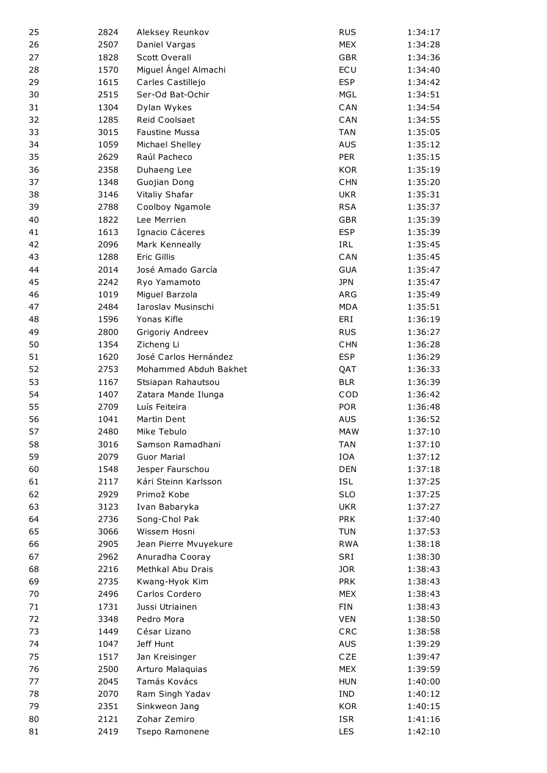| 25 | 2824         | Aleksey Reunkov       | <b>RUS</b> | 1:34:17 |
|----|--------------|-----------------------|------------|---------|
| 26 | 2507         | Daniel Vargas         | <b>MEX</b> | 1:34:28 |
| 27 | 1828         | <b>Scott Overall</b>  | <b>GBR</b> | 1:34:36 |
| 28 | 1570         | Miguel Ángel Almachi  | ECU        | 1:34:40 |
| 29 | 1615         | Carles Castillejo     | <b>ESP</b> | 1:34:42 |
| 30 | 2515         | Ser-Od Bat-Ochir      | <b>MGL</b> | 1:34:51 |
| 31 | 1304         | Dylan Wykes           | CAN        | 1:34:54 |
| 32 | 1285         | Reid Coolsaet         | CAN        | 1:34:55 |
| 33 | 3015         | Faustine Mussa        | <b>TAN</b> | 1:35:05 |
| 34 | 1059         | Michael Shelley       | <b>AUS</b> | 1:35:12 |
| 35 | 2629         | Raúl Pacheco          | <b>PER</b> | 1:35:15 |
| 36 | 2358         | Duhaeng Lee           | <b>KOR</b> | 1:35:19 |
| 37 | 1348         | Guojian Dong          | <b>CHN</b> | 1:35:20 |
| 38 | 3146         | Vitaliy Shafar        | <b>UKR</b> | 1:35:31 |
| 39 | 2788         | Coolboy Ngamole       | <b>RSA</b> | 1:35:37 |
| 40 | 1822         | Lee Merrien           | <b>GBR</b> | 1:35:39 |
| 41 | 1613         | Ignacio Cáceres       | <b>ESP</b> | 1:35:39 |
| 42 | 2096         | Mark Kenneally        | IRL        | 1:35:45 |
| 43 | 1288         | Eric Gillis           | CAN        | 1:35:45 |
| 44 | 2014         | José Amado García     | <b>GUA</b> | 1:35:47 |
| 45 |              |                       | <b>JPN</b> |         |
|    | 2242<br>1019 | Ryo Yamamoto          |            | 1:35:47 |
| 46 |              | Miguel Barzola        | ARG        | 1:35:49 |
| 47 | 2484         | Iaroslav Musinschi    | <b>MDA</b> | 1:35:51 |
| 48 | 1596         | Yonas Kifle           | ERI        | 1:36:19 |
| 49 | 2800         | Grigoriy Andreev      | <b>RUS</b> | 1:36:27 |
| 50 | 1354         | Zicheng Li            | <b>CHN</b> | 1:36:28 |
| 51 | 1620         | José Carlos Hernández | <b>ESP</b> | 1:36:29 |
| 52 | 2753         | Mohammed Abduh Bakhet | QAT        | 1:36:33 |
| 53 | 1167         | Stsiapan Rahautsou    | <b>BLR</b> | 1:36:39 |
| 54 | 1407         | Zatara Mande Ilunga   | COD        | 1:36:42 |
| 55 | 2709         | Luís Feiteira         | <b>POR</b> | 1:36:48 |
| 56 | 1041         | Martin Dent           | <b>AUS</b> | 1:36:52 |
| 57 | 2480         | Mike Tebulo           | <b>MAW</b> | 1:37:10 |
| 58 | 3016         | Samson Ramadhani      | <b>TAN</b> | 1:37:10 |
| 59 | 2079         | <b>Guor Marial</b>    | IOA        | 1:37:12 |
| 60 | 1548         | Jesper Faurschou      | <b>DEN</b> | 1:37:18 |
| 61 | 2117         | Kári Steinn Karlsson  | <b>ISL</b> | 1:37:25 |
| 62 | 2929         | Primož Kobe           | <b>SLO</b> | 1:37:25 |
| 63 | 3123         | Ivan Babaryka         | <b>UKR</b> | 1:37:27 |
| 64 | 2736         | Song-Chol Pak         | <b>PRK</b> | 1:37:40 |
| 65 | 3066         | Wissem Hosni          | <b>TUN</b> | 1:37:53 |
| 66 | 2905         | Jean Pierre Mvuyekure | <b>RWA</b> | 1:38:18 |
| 67 | 2962         | Anuradha Cooray       | SRI        | 1:38:30 |
| 68 | 2216         | Methkal Abu Drais     | <b>JOR</b> | 1:38:43 |
| 69 | 2735         | Kwang-Hyok Kim        | <b>PRK</b> | 1:38:43 |
| 70 | 2496         | Carlos Cordero        | <b>MEX</b> | 1:38:43 |
| 71 | 1731         | Jussi Utriainen       | FIN        | 1:38:43 |
| 72 | 3348         | Pedro Mora            | <b>VEN</b> | 1:38:50 |
| 73 | 1449         | César Lizano          | CRC        | 1:38:58 |
| 74 | 1047         | Jeff Hunt             | AUS        | 1:39:29 |
| 75 | 1517         | Jan Kreisinger        | CZE        | 1:39:47 |
| 76 | 2500         | Arturo Malaquias      | <b>MEX</b> | 1:39:59 |
| 77 | 2045         | Tamás Kovács          | <b>HUN</b> | 1:40:00 |
| 78 | 2070         | Ram Singh Yadav       | <b>IND</b> | 1:40:12 |
| 79 | 2351         | Sinkweon Jang         | <b>KOR</b> | 1:40:15 |
| 80 | 2121         | Zohar Zemiro          | <b>ISR</b> | 1:41:16 |
| 81 | 2419         | Tsepo Ramonene        | LES        | 1:42:10 |
|    |              |                       |            |         |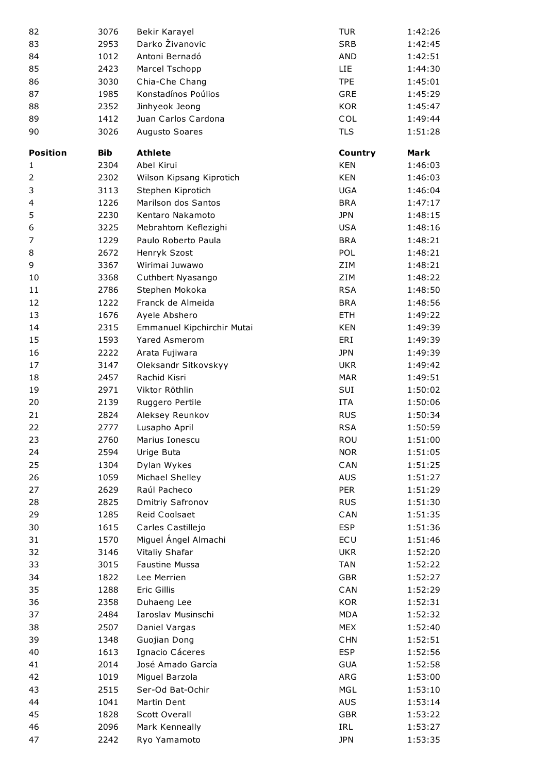| 82              | 3076       | Bekir Karayel              | <b>TUR</b> | 1:42:26 |
|-----------------|------------|----------------------------|------------|---------|
| 83              | 2953       | Darko Živanovic            | <b>SRB</b> | 1:42:45 |
| 84              | 1012       | Antoni Bernadó             | <b>AND</b> | 1:42:51 |
| 85              | 2423       | Marcel Tschopp             | LIE        | 1:44:30 |
| 86              | 3030       | Chia-Che Chang             | <b>TPE</b> | 1:45:01 |
| 87              | 1985       | Konstadínos Poúlios        | <b>GRE</b> | 1:45:29 |
| 88              | 2352       | Jinhyeok Jeong             | <b>KOR</b> | 1:45:47 |
| 89              | 1412       | Juan Carlos Cardona        | COL        | 1:49:44 |
| 90              | 3026       | Augusto Soares             | <b>TLS</b> | 1:51:28 |
| <b>Position</b> | <b>Bib</b> | <b>Athlete</b>             | Country    | Mark    |
| 1               | 2304       | Abel Kirui                 | <b>KEN</b> | 1:46:03 |
| 2               | 2302       | Wilson Kipsang Kiprotich   | <b>KEN</b> | 1:46:03 |
| 3               | 3113       | Stephen Kiprotich          | <b>UGA</b> | 1:46:04 |
| 4               | 1226       | Marilson dos Santos        | <b>BRA</b> | 1:47:17 |
| 5               | 2230       | Kentaro Nakamoto           | <b>JPN</b> | 1:48:15 |
| 6               | 3225       | Mebrahtom Keflezighi       | <b>USA</b> | 1:48:16 |
| $\overline{7}$  | 1229       | Paulo Roberto Paula        | <b>BRA</b> | 1:48:21 |
| 8               | 2672       | Henryk Szost               | POL        | 1:48:21 |
| 9               | 3367       | Wirimai Juwawo             | ZIM        | 1:48:21 |
| 10              | 3368       | Cuthbert Nyasango          | ZIM        | 1:48:22 |
| 11              | 2786       | Stephen Mokoka             | <b>RSA</b> | 1:48:50 |
| 12              | 1222       | Franck de Almeida          | <b>BRA</b> | 1:48:56 |
| 13              | 1676       | Ayele Abshero              | <b>ETH</b> | 1:49:22 |
| 14              | 2315       | Emmanuel Kipchirchir Mutai | <b>KEN</b> | 1:49:39 |
| 15              | 1593       | <b>Yared Asmerom</b>       | ERI        | 1:49:39 |
| 16              | 2222       | Arata Fujiwara             | <b>JPN</b> | 1:49:39 |
| 17              | 3147       | Oleksandr Sitkovskyy       | <b>UKR</b> | 1:49:42 |
| 18              | 2457       | Rachid Kisri               | <b>MAR</b> | 1:49:51 |
| 19              | 2971       | Viktor Röthlin             | SUI        | 1:50:02 |
| 20              | 2139       | Ruggero Pertile            | <b>ITA</b> | 1:50:06 |
| 21              | 2824       | Aleksey Reunkov            | <b>RUS</b> | 1:50:34 |
| 22              | 2777       | Lusapho April              | <b>RSA</b> | 1:50:59 |
| 23              | 2760       | Marius Ionescu             | ROU        | 1:51:00 |
| 24              | 2594       | Urige Buta                 | <b>NOR</b> | 1:51:05 |
| 25              | 1304       | Dylan Wykes                | CAN        | 1:51:25 |
| 26              | 1059       | Michael Shelley            | <b>AUS</b> | 1:51:27 |
| 27              | 2629       | Raúl Pacheco               | PER        | 1:51:29 |
| 28              | 2825       | Dmitriy Safronov           | <b>RUS</b> | 1:51:30 |
| 29              | 1285       | Reid Coolsaet              | CAN        | 1:51:35 |
| 30              | 1615       | Carles Castillejo          | <b>ESP</b> | 1:51:36 |
| 31              | 1570       | Miguel Ángel Almachi       | ECU        | 1:51:46 |
| 32              | 3146       | Vitaliy Shafar             | <b>UKR</b> | 1:52:20 |
| 33              | 3015       | Faustine Mussa             | <b>TAN</b> | 1:52:22 |
| 34              | 1822       | Lee Merrien                | <b>GBR</b> | 1:52:27 |
| 35              | 1288       | Eric Gillis                | CAN        | 1:52:29 |
| 36              | 2358       | Duhaeng Lee                | <b>KOR</b> | 1:52:31 |
| 37              | 2484       | Iaroslav Musinschi         | <b>MDA</b> | 1:52:32 |
| 38              | 2507       | Daniel Vargas              | <b>MEX</b> | 1:52:40 |
| 39              | 1348       | Guojian Dong               | <b>CHN</b> | 1:52:51 |
| 40              | 1613       | Ignacio Cáceres            | <b>ESP</b> | 1:52:56 |
| 41              | 2014       | José Amado García          | <b>GUA</b> | 1:52:58 |
| 42              | 1019       | Miguel Barzola             | ARG        | 1:53:00 |
| 43              | 2515       | Ser-Od Bat-Ochir           | <b>MGL</b> | 1:53:10 |
| 44              | 1041       | Martin Dent                | <b>AUS</b> | 1:53:14 |
| 45              | 1828       | <b>Scott Overall</b>       | <b>GBR</b> | 1:53:22 |
| 46              | 2096       | Mark Kenneally             | IRL        | 1:53:27 |
| 47              | 2242       | Ryo Yamamoto               | <b>JPN</b> | 1:53:35 |
|                 |            |                            |            |         |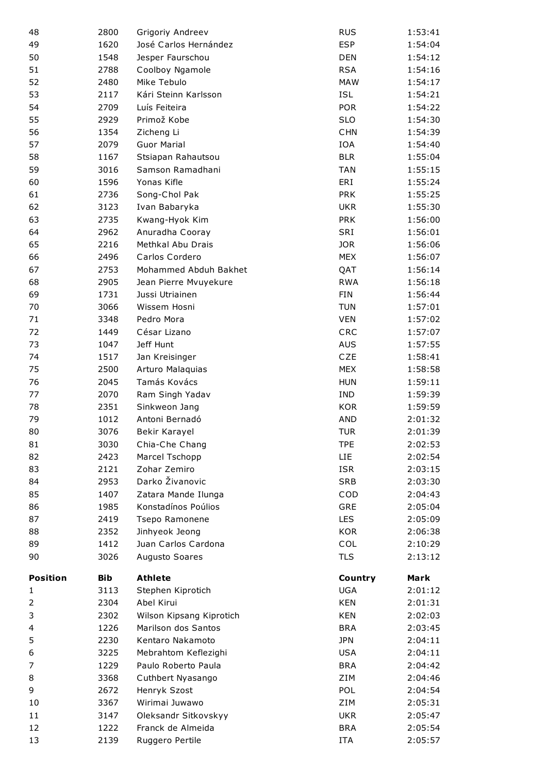| 48              | 2800         | Grigoriy Andreev                     | <b>RUS</b>               | 1:53:41            |
|-----------------|--------------|--------------------------------------|--------------------------|--------------------|
| 49              | 1620         | José Carlos Hernández                | <b>ESP</b>               | 1:54:04            |
| 50              | 1548         | Jesper Faurschou                     | <b>DEN</b>               | 1:54:12            |
| 51              | 2788         | Coolboy Ngamole                      | <b>RSA</b>               | 1:54:16            |
| 52              | 2480         | Mike Tebulo                          | <b>MAW</b>               | 1:54:17            |
| 53              | 2117         | Kári Steinn Karlsson                 | <b>ISL</b>               | 1:54:21            |
| 54              | 2709         | Luís Feiteira                        | <b>POR</b>               | 1:54:22            |
| 55              | 2929         | Primož Kobe                          | <b>SLO</b>               | 1:54:30            |
| 56              | 1354         | Zicheng Li                           | <b>CHN</b>               | 1:54:39            |
| 57              | 2079         | <b>Guor Marial</b>                   | <b>IOA</b>               | 1:54:40            |
| 58              | 1167         | Stsiapan Rahautsou                   | <b>BLR</b>               | 1:55:04            |
| 59              | 3016         | Samson Ramadhani                     | <b>TAN</b>               | 1:55:15            |
| 60              | 1596         | Yonas Kifle                          | ERI                      | 1:55:24            |
| 61              | 2736         | Song-Chol Pak                        | <b>PRK</b>               | 1:55:25            |
| 62              | 3123         | Ivan Babaryka                        | <b>UKR</b>               | 1:55:30            |
| 63              | 2735         | Kwang-Hyok Kim                       | <b>PRK</b>               | 1:56:00            |
| 64              | 2962         | Anuradha Cooray                      | SRI                      | 1:56:01            |
| 65              | 2216         | Methkal Abu Drais                    | <b>JOR</b>               | 1:56:06            |
| 66              | 2496         | Carlos Cordero                       | <b>MEX</b>               | 1:56:07            |
| 67              | 2753         | Mohammed Abduh Bakhet                | QAT                      | 1:56:14            |
| 68              | 2905         | Jean Pierre Mvuyekure                | <b>RWA</b>               | 1:56:18            |
| 69              | 1731         | Jussi Utriainen                      | <b>FIN</b>               | 1:56:44            |
| 70              | 3066         | Wissem Hosni                         | <b>TUN</b>               | 1:57:01            |
| 71              | 3348         | Pedro Mora                           | <b>VEN</b>               | 1:57:02            |
| 72              | 1449         | César Lizano                         | CRC                      | 1:57:07            |
| 73              | 1047         | Jeff Hunt                            | <b>AUS</b>               | 1:57:55            |
| 74              | 1517         | Jan Kreisinger                       | CZE                      | 1:58:41            |
| 75              | 2500         | Arturo Malaquias                     | <b>MEX</b>               | 1:58:58            |
| 76              | 2045         | Tamás Kovács                         | <b>HUN</b>               | 1:59:11            |
| 77              | 2070         | Ram Singh Yadav                      | <b>IND</b>               | 1:59:39            |
| 78              | 2351         | Sinkweon Jang                        | <b>KOR</b>               | 1:59:59            |
| 79              | 1012         | Antoni Bernadó                       | <b>AND</b>               | 2:01:32            |
| 80              | 3076         | Bekir Karayel                        | <b>TUR</b>               | 2:01:39            |
| 81              | 3030         | Chia-Che Chang                       | <b>TPE</b>               | 2:02:53            |
| 82              | 2423         | Marcel Tschopp                       | <b>LIE</b>               | 2:02:54            |
| 83              | 2121         | Zohar Zemiro                         | <b>ISR</b>               | 2:03:15            |
| 84              | 2953         | Darko Živanovic                      | <b>SRB</b>               | 2:03:30            |
| 85              |              |                                      |                          |                    |
| 86              | 1407         | Zatara Mande Ilunga                  | COD                      | 2:04:43            |
|                 | 1985         | Konstadínos Poúlios                  | GRE                      | 2:05:04            |
| 87              | 2419         | Tsepo Ramonene                       | <b>LES</b>               | 2:05:09            |
| 88              | 2352         | Jinhyeok Jeong                       | <b>KOR</b>               | 2:06:38            |
| 89              | 1412         | Juan Carlos Cardona                  | COL                      | 2:10:29            |
| 90              | 3026         | Augusto Soares                       | <b>TLS</b>               | 2:13:12            |
| <b>Position</b> | Bib          | <b>Athlete</b>                       | Country                  | Mark               |
| $\mathbf{1}$    | 3113         | Stephen Kiprotich                    | <b>UGA</b>               | 2:01:12            |
| 2               | 2304         | Abel Kirui                           | <b>KEN</b>               | 2:01:31            |
| 3               | 2302         | Wilson Kipsang Kiprotich             | <b>KEN</b>               | 2:02:03            |
| 4               | 1226         | Marilson dos Santos                  | <b>BRA</b>               | 2:03:45            |
| 5               | 2230         | Kentaro Nakamoto                     | <b>JPN</b>               | 2:04:11            |
| 6               | 3225         | Mebrahtom Keflezighi                 | <b>USA</b>               | 2:04:11            |
| 7               | 1229         | Paulo Roberto Paula                  | <b>BRA</b>               | 2:04:42            |
| 8               | 3368         | Cuthbert Nyasango                    | ZIM                      | 2:04:46            |
| 9               | 2672         | Henryk Szost                         | POL                      | 2:04:54            |
| 10              | 3367         | Wirimai Juwawo                       | ZIM                      | 2:05:31            |
| 11              | 3147         | Oleksandr Sitkovskyy                 | <b>UKR</b>               | 2:05:47            |
| 12<br>13        | 1222<br>2139 | Franck de Almeida<br>Ruggero Pertile | <b>BRA</b><br><b>ITA</b> | 2:05:54<br>2:05:57 |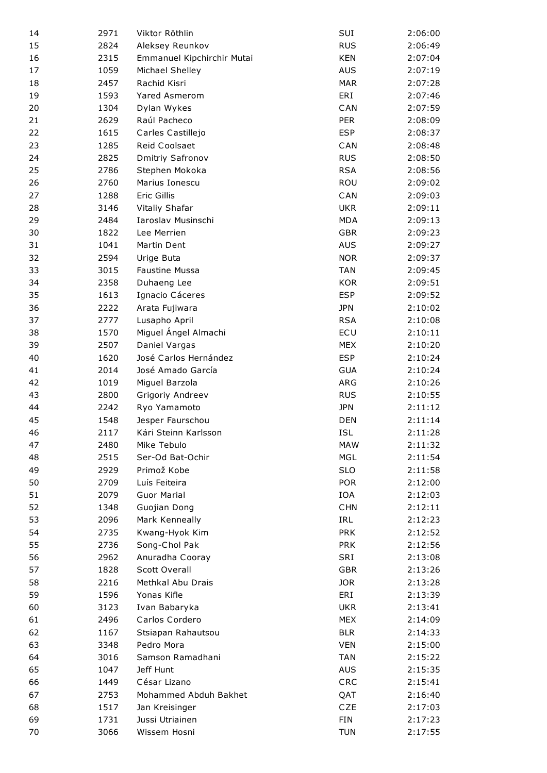| 14 | 2971 | Viktor Röthlin             | SUI        | 2:06:00 |
|----|------|----------------------------|------------|---------|
| 15 | 2824 | Aleksey Reunkov            | <b>RUS</b> | 2:06:49 |
| 16 | 2315 | Emmanuel Kipchirchir Mutai | <b>KEN</b> | 2:07:04 |
| 17 | 1059 | Michael Shelley            | <b>AUS</b> | 2:07:19 |
| 18 | 2457 | Rachid Kisri               | <b>MAR</b> | 2:07:28 |
| 19 | 1593 | <b>Yared Asmerom</b>       | ERI        | 2:07:46 |
| 20 | 1304 | Dylan Wykes                | CAN        | 2:07:59 |
| 21 | 2629 | Raúl Pacheco               | <b>PER</b> | 2:08:09 |
| 22 | 1615 | Carles Castillejo          | <b>ESP</b> | 2:08:37 |
| 23 | 1285 | Reid Coolsaet              | CAN        | 2:08:48 |
| 24 | 2825 | Dmitriy Safronov           | <b>RUS</b> | 2:08:50 |
| 25 | 2786 | Stephen Mokoka             | <b>RSA</b> | 2:08:56 |
| 26 | 2760 | Marius Ionescu             | ROU        | 2:09:02 |
| 27 | 1288 | Eric Gillis                | CAN        | 2:09:03 |
| 28 | 3146 | Vitaliy Shafar             | <b>UKR</b> | 2:09:11 |
| 29 | 2484 | Iaroslav Musinschi         | <b>MDA</b> | 2:09:13 |
| 30 | 1822 | Lee Merrien                | <b>GBR</b> | 2:09:23 |
| 31 | 1041 | Martin Dent                | <b>AUS</b> | 2:09:27 |
| 32 | 2594 | Urige Buta                 | <b>NOR</b> | 2:09:37 |
| 33 | 3015 | Faustine Mussa             | <b>TAN</b> | 2:09:45 |
| 34 | 2358 | Duhaeng Lee                | <b>KOR</b> | 2:09:51 |
| 35 | 1613 | Ignacio Cáceres            | <b>ESP</b> | 2:09:52 |
| 36 | 2222 | Arata Fujiwara             | <b>JPN</b> | 2:10:02 |
| 37 | 2777 | Lusapho April              | <b>RSA</b> | 2:10:08 |
| 38 | 1570 | Miguel Ángel Almachi       | ECU        | 2:10:11 |
| 39 | 2507 | Daniel Vargas              | <b>MEX</b> | 2:10:20 |
| 40 | 1620 | José Carlos Hernández      | <b>ESP</b> | 2:10:24 |
| 41 | 2014 | José Amado García          | <b>GUA</b> | 2:10:24 |
| 42 | 1019 | Miguel Barzola             | ARG        | 2:10:26 |
| 43 | 2800 | Grigoriy Andreev           | <b>RUS</b> | 2:10:55 |
| 44 | 2242 | Ryo Yamamoto               | <b>JPN</b> | 2:11:12 |
| 45 | 1548 | Jesper Faurschou           | <b>DEN</b> | 2:11:14 |
| 46 | 2117 | Kári Steinn Karlsson       | <b>ISL</b> | 2:11:28 |
| 47 | 2480 | Mike Tebulo                | <b>MAW</b> | 2:11:32 |
| 48 | 2515 | Ser-Od Bat-Ochir           | <b>MGL</b> | 2:11:54 |
| 49 | 2929 | Primož Kobe                | <b>SLO</b> | 2:11:58 |
| 50 | 2709 | Luís Feiteira              | <b>POR</b> | 2:12:00 |
| 51 | 2079 | <b>Guor Marial</b>         | <b>IOA</b> | 2:12:03 |
| 52 | 1348 | Guojian Dong               | <b>CHN</b> | 2:12:11 |
| 53 | 2096 | Mark Kenneally             | IRL        | 2:12:23 |
| 54 | 2735 | Kwang-Hyok Kim             | <b>PRK</b> | 2:12:52 |
| 55 | 2736 | Song-Chol Pak              | <b>PRK</b> | 2:12:56 |
| 56 | 2962 | Anuradha Cooray            | SRI        | 2:13:08 |
| 57 | 1828 | <b>Scott Overall</b>       | <b>GBR</b> | 2:13:26 |
| 58 | 2216 | Methkal Abu Drais          | <b>JOR</b> | 2:13:28 |
| 59 | 1596 | Yonas Kifle                | ERI        | 2:13:39 |
| 60 | 3123 | Ivan Babaryka              | <b>UKR</b> | 2:13:41 |
| 61 | 2496 | Carlos Cordero             | <b>MEX</b> | 2:14:09 |
| 62 | 1167 | Stsiapan Rahautsou         | <b>BLR</b> | 2:14:33 |
| 63 | 3348 | Pedro Mora                 | <b>VEN</b> | 2:15:00 |
| 64 | 3016 | Samson Ramadhani           | <b>TAN</b> | 2:15:22 |
| 65 | 1047 | Jeff Hunt                  | <b>AUS</b> | 2:15:35 |
| 66 | 1449 | César Lizano               | CRC        | 2:15:41 |
| 67 | 2753 | Mohammed Abduh Bakhet      | QAT        | 2:16:40 |
| 68 | 1517 | Jan Kreisinger             | CZE        | 2:17:03 |
| 69 | 1731 | Jussi Utriainen            | <b>FIN</b> | 2:17:23 |
| 70 | 3066 | Wissem Hosni               | <b>TUN</b> | 2:17:55 |
|    |      |                            |            |         |